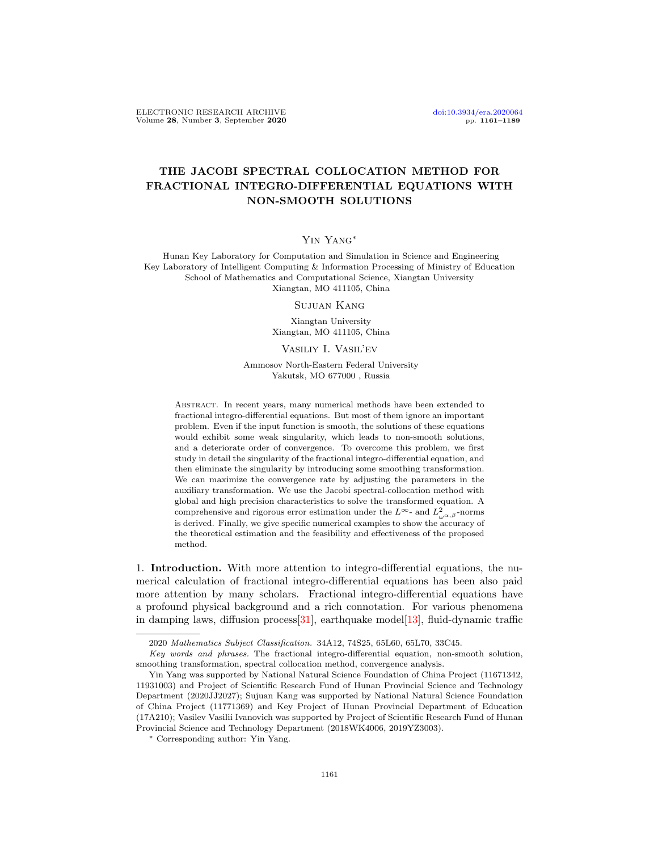# THE JACOBI SPECTRAL COLLOCATION METHOD FOR FRACTIONAL INTEGRO-DIFFERENTIAL EQUATIONS WITH NON-SMOOTH SOLUTIONS

### Yin Yang∗

Hunan Key Laboratory for Computation and Simulation in Science and Engineering Key Laboratory of Intelligent Computing & Information Processing of Ministry of Education School of Mathematics and Computational Science, Xiangtan University Xiangtan, MO 411105, China

Sujuan Kang

Xiangtan University Xiangtan, MO 411105, China

#### Vasiliy I. Vasil'ev

Ammosov North-Eastern Federal University Yakutsk, MO 677000 , Russia

Abstract. In recent years, many numerical methods have been extended to fractional integro-differential equations. But most of them ignore an important problem. Even if the input function is smooth, the solutions of these equations would exhibit some weak singularity, which leads to non-smooth solutions, and a deteriorate order of convergence. To overcome this problem, we first study in detail the singularity of the fractional integro-differential equation, and then eliminate the singularity by introducing some smoothing transformation. We can maximize the convergence rate by adjusting the parameters in the auxiliary transformation. We use the Jacobi spectral-collocation method with global and high precision characteristics to solve the transformed equation. A comprehensive and rigorous error estimation under the  $L^{\infty}$ - and  $L^2_{\omega^{\alpha,\beta}}$ -norms is derived. Finally, we give specific numerical examples to show the accuracy of the theoretical estimation and the feasibility and effectiveness of the proposed method.

1. Introduction. With more attention to integro-differential equations, the numerical calculation of fractional integro-differential equations has been also paid more attention by many scholars. Fractional integro-differential equations have a profound physical background and a rich connotation. For various phenomena in damping laws, diffusion process [\[31\]](#page-28-0), earthquake model [\[13\]](#page-27-0), fluid-dynamic traffic

<sup>2020</sup> Mathematics Subject Classification. 34A12, 74S25, 65L60, 65L70, 33C45.

Key words and phrases. The fractional integro-differential equation, non-smooth solution, smoothing transformation, spectral collocation method, convergence analysis.

Yin Yang was supported by National Natural Science Foundation of China Project (11671342, 11931003) and Project of Scientific Research Fund of Hunan Provincial Science and Technology Department (2020JJ2027); Sujuan Kang was supported by National Natural Science Foundation of China Project (11771369) and Key Project of Hunan Provincial Department of Education (17A210); Vasilev Vasilii Ivanovich was supported by Project of Scientific Research Fund of Hunan Provincial Science and Technology Department (2018WK4006, 2019YZ3003).

<sup>∗</sup> Corresponding author: Yin Yang.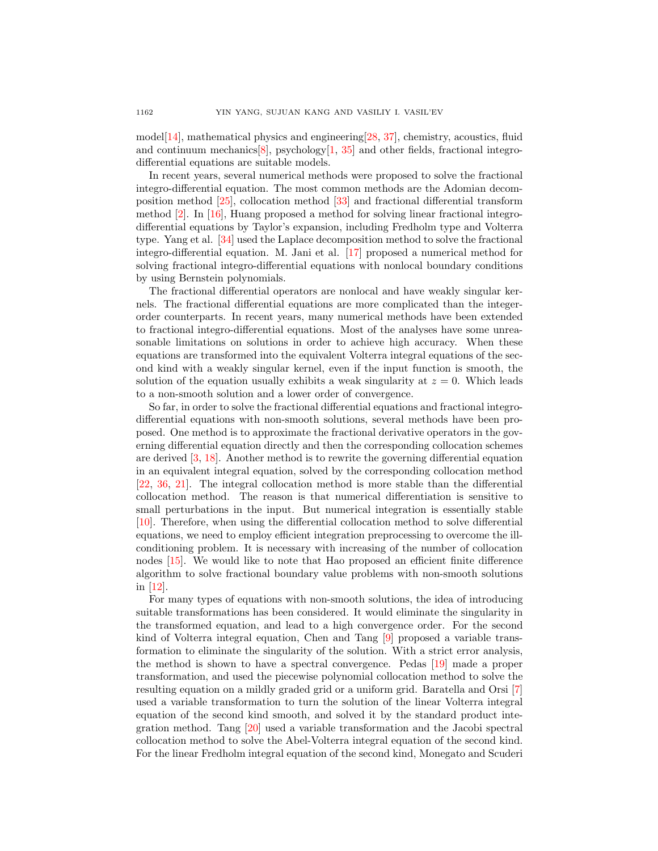model[\[14\]](#page-27-1), mathematical physics and engineering[\[28,](#page-28-1) [37\]](#page-28-2), chemistry, acoustics, fluid and continuum mechanics  $[8]$ , psychology  $[1, 35]$  $[1, 35]$  $[1, 35]$  and other fields, fractional integrodifferential equations are suitable models.

In recent years, several numerical methods were proposed to solve the fractional integro-differential equation. The most common methods are the Adomian decomposition method [\[25\]](#page-28-4), collocation method [\[33\]](#page-28-5) and fractional differential transform method [\[2\]](#page-27-4). In [\[16\]](#page-27-5), Huang proposed a method for solving linear fractional integrodifferential equations by Taylor's expansion, including Fredholm type and Volterra type. Yang et al. [\[34\]](#page-28-6) used the Laplace decomposition method to solve the fractional integro-differential equation. M. Jani et al. [\[17\]](#page-27-6) proposed a numerical method for solving fractional integro-differential equations with nonlocal boundary conditions by using Bernstein polynomials.

The fractional differential operators are nonlocal and have weakly singular kernels. The fractional differential equations are more complicated than the integerorder counterparts. In recent years, many numerical methods have been extended to fractional integro-differential equations. Most of the analyses have some unreasonable limitations on solutions in order to achieve high accuracy. When these equations are transformed into the equivalent Volterra integral equations of the second kind with a weakly singular kernel, even if the input function is smooth, the solution of the equation usually exhibits a weak singularity at  $z = 0$ . Which leads to a non-smooth solution and a lower order of convergence.

So far, in order to solve the fractional differential equations and fractional integrodifferential equations with non-smooth solutions, several methods have been proposed. One method is to approximate the fractional derivative operators in the governing differential equation directly and then the corresponding collocation schemes are derived [\[3,](#page-27-7) [18\]](#page-27-8). Another method is to rewrite the governing differential equation in an equivalent integral equation, solved by the corresponding collocation method [\[22,](#page-28-7) [36,](#page-28-8) [21\]](#page-28-9). The integral collocation method is more stable than the differential collocation method. The reason is that numerical differentiation is sensitive to small perturbations in the input. But numerical integration is essentially stable [\[10\]](#page-27-9). Therefore, when using the differential collocation method to solve differential equations, we need to employ efficient integration preprocessing to overcome the illconditioning problem. It is necessary with increasing of the number of collocation nodes [\[15\]](#page-27-10). We would like to note that Hao proposed an efficient finite difference algorithm to solve fractional boundary value problems with non-smooth solutions in [\[12\]](#page-27-11).

For many types of equations with non-smooth solutions, the idea of introducing suitable transformations has been considered. It would eliminate the singularity in the transformed equation, and lead to a high convergence order. For the second kind of Volterra integral equation, Chen and Tang [\[9\]](#page-27-12) proposed a variable transformation to eliminate the singularity of the solution. With a strict error analysis, the method is shown to have a spectral convergence. Pedas [\[19\]](#page-27-13) made a proper transformation, and used the piecewise polynomial collocation method to solve the resulting equation on a mildly graded grid or a uniform grid. Baratella and Orsi [\[7\]](#page-27-14) used a variable transformation to turn the solution of the linear Volterra integral equation of the second kind smooth, and solved it by the standard product integration method. Tang [\[20\]](#page-28-10) used a variable transformation and the Jacobi spectral collocation method to solve the Abel-Volterra integral equation of the second kind. For the linear Fredholm integral equation of the second kind, Monegato and Scuderi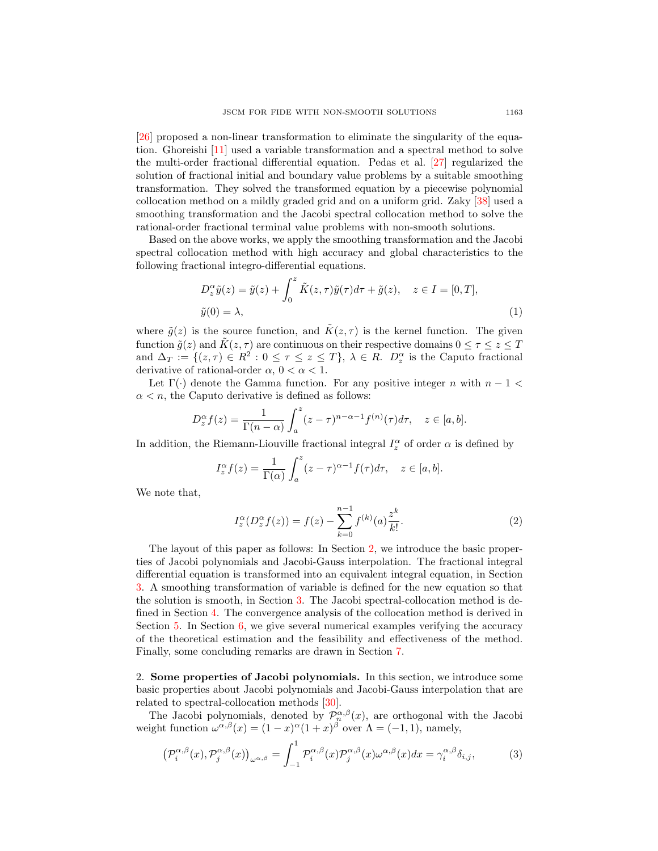[\[26\]](#page-28-11) proposed a non-linear transformation to eliminate the singularity of the equation. Ghoreishi [\[11\]](#page-27-15) used a variable transformation and a spectral method to solve the multi-order fractional differential equation. Pedas et al. [\[27\]](#page-28-12) regularized the solution of fractional initial and boundary value problems by a suitable smoothing transformation. They solved the transformed equation by a piecewise polynomial collocation method on a mildly graded grid and on a uniform grid. Zaky [\[38\]](#page-28-13) used a smoothing transformation and the Jacobi spectral collocation method to solve the rational-order fractional terminal value problems with non-smooth solutions.

Based on the above works, we apply the smoothing transformation and the Jacobi spectral collocation method with high accuracy and global characteristics to the following fractional integro-differential equations.

<span id="page-2-3"></span>
$$
D_z^{\alpha} \tilde{y}(z) = \tilde{y}(z) + \int_0^z \tilde{K}(z, \tau) \tilde{y}(\tau) d\tau + \tilde{g}(z), \quad z \in I = [0, T],
$$
  

$$
\tilde{y}(0) = \lambda,
$$
 (1)

where  $\tilde{g}(z)$  is the source function, and  $\tilde{K}(z, \tau)$  is the kernel function. The given function  $\tilde{g}(z)$  and  $\tilde{K}(z, \tau)$  are continuous on their respective domains  $0 \leq \tau \leq z \leq T$ and  $\Delta_T := \{(z,\tau) \in R^2 : 0 \leq \tau \leq z \leq T\}, \lambda \in R$ .  $D_z^{\alpha}$  is the Caputo fractional derivative of rational-order  $\alpha$ ,  $0 < \alpha < 1$ .

Let  $\Gamma(\cdot)$  denote the Gamma function. For any positive integer n with  $n-1$  $\alpha < n$ , the Caputo derivative is defined as follows:

$$
D_z^{\alpha} f(z) = \frac{1}{\Gamma(n-\alpha)} \int_a^z (z-\tau)^{n-\alpha-1} f^{(n)}(\tau) d\tau, \quad z \in [a, b].
$$

In addition, the Riemann-Liouville fractional integral  $I_z^{\alpha}$  of order  $\alpha$  is defined by

$$
I_z^{\alpha} f(z) = \frac{1}{\Gamma(\alpha)} \int_a^z (z - \tau)^{\alpha - 1} f(\tau) d\tau, \quad z \in [a, b].
$$

We note that,

<span id="page-2-2"></span>
$$
I_z^{\alpha}(D_z^{\alpha}f(z)) = f(z) - \sum_{k=0}^{n-1} f^{(k)}(a) \frac{z^k}{k!}.
$$
 (2)

The layout of this paper as follows: In Section [2,](#page-2-0) we introduce the basic properties of Jacobi polynomials and Jacobi-Gauss interpolation. The fractional integral differential equation is transformed into an equivalent integral equation, in Section [3.](#page-3-0) A smoothing transformation of variable is defined for the new equation so that the solution is smooth, in Section [3.](#page-3-0) The Jacobi spectral-collocation method is defined in Section [4.](#page-9-0) The convergence analysis of the collocation method is derived in Section [5.](#page-10-0) In Section [6,](#page-21-0) we give several numerical examples verifying the accuracy of the theoretical estimation and the feasibility and effectiveness of the method. Finally, some concluding remarks are drawn in Section [7.](#page-26-0)

<span id="page-2-0"></span>2. Some properties of Jacobi polynomials. In this section, we introduce some basic properties about Jacobi polynomials and Jacobi-Gauss interpolation that are related to spectral-collocation methods [\[30\]](#page-28-14).

The Jacobi polynomials, denoted by  $\mathcal{P}_n^{\alpha,\beta}(x)$ , are orthogonal with the Jacobi weight function  $\omega^{\alpha,\beta}(x) = (1-x)^{\alpha}(1+x)^{\beta}$  over  $\Lambda = (-1,1)$ , namely,

<span id="page-2-1"></span>
$$
\left(\mathcal{P}_{i}^{\alpha,\beta}(x),\mathcal{P}_{j}^{\alpha,\beta}(x)\right)_{\omega^{\alpha,\beta}} = \int_{-1}^{1} \mathcal{P}_{i}^{\alpha,\beta}(x)\mathcal{P}_{j}^{\alpha,\beta}(x)\omega^{\alpha,\beta}(x)dx = \gamma_{i}^{\alpha,\beta}\delta_{i,j},\tag{3}
$$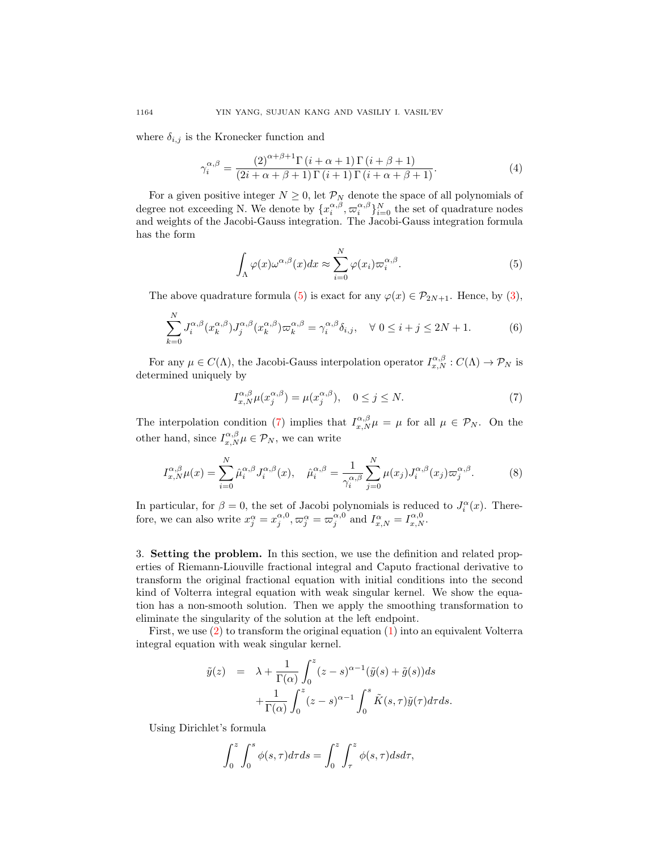where  $\delta_{i,j}$  is the Kronecker function and

$$
\gamma_i^{\alpha,\beta} = \frac{\left(2\right)^{\alpha+\beta+1}\Gamma\left(i+\alpha+1\right)\Gamma\left(i+\beta+1\right)}{\left(2i+\alpha+\beta+1\right)\Gamma\left(i+1\right)\Gamma\left(i+\alpha+\beta+1\right)}.\tag{4}
$$

For a given positive integer  $N \geq 0$ , let  $\mathcal{P}_N$  denote the space of all polynomials of degree not exceeding N. We denote by  $\{x_i^{\alpha,\beta}, \varpi_i^{\alpha,\beta}\}_{i=0}^N$  the set of quadrature nodes and weights of the Jacobi-Gauss integration. The Jacobi-Gauss integration formula has the form

<span id="page-3-1"></span>
$$
\int_{\Lambda} \varphi(x) \omega^{\alpha,\beta}(x) dx \approx \sum_{i=0}^{N} \varphi(x_i) \varpi_i^{\alpha,\beta}.
$$
 (5)

The above quadrature formula [\(5\)](#page-3-1) is exact for any  $\varphi(x) \in \mathcal{P}_{2N+1}$ . Hence, by [\(3\)](#page-2-1),

$$
\sum_{k=0}^{N} J_i^{\alpha,\beta} (x_k^{\alpha,\beta}) J_j^{\alpha,\beta} (x_k^{\alpha,\beta}) \varpi_k^{\alpha,\beta} = \gamma_i^{\alpha,\beta} \delta_{i,j}, \quad \forall \ 0 \le i+j \le 2N+1. \tag{6}
$$

For any  $\mu \in C(\Lambda)$ , the Jacobi-Gauss interpolation operator  $I_{x,N}^{\alpha,\beta}: C(\Lambda) \to \mathcal{P}_N$  is determined uniquely by

<span id="page-3-2"></span>
$$
I_{x,N}^{\alpha,\beta}\mu(x_j^{\alpha,\beta}) = \mu(x_j^{\alpha,\beta}), \quad 0 \le j \le N. \tag{7}
$$

The interpolation condition [\(7\)](#page-3-2) implies that  $I_{x,N}^{\alpha,\beta}\mu = \mu$  for all  $\mu \in \mathcal{P}_N$ . On the other hand, since  $I_{x,N}^{\alpha,\beta}\mu \in \mathcal{P}_N$ , we can write

<span id="page-3-3"></span>
$$
I_{x,N}^{\alpha,\beta}\mu(x) = \sum_{i=0}^{N} \hat{\mu}_i^{\alpha,\beta} J_i^{\alpha,\beta}(x), \quad \hat{\mu}_i^{\alpha,\beta} = \frac{1}{\gamma_i^{\alpha,\beta}} \sum_{j=0}^{N} \mu(x_j) J_i^{\alpha,\beta}(x_j) \varpi_j^{\alpha,\beta}.
$$
 (8)

In particular, for  $\beta = 0$ , the set of Jacobi polynomials is reduced to  $J_i^{\alpha}(x)$ . Therefore, we can also write  $x_j^{\alpha} = x_j^{\alpha,0}, \varpi_j^{\alpha} = \varpi_j^{\alpha,0}$  and  $I_{x,N}^{\alpha} = I_{x,N}^{\alpha,0}$ .

<span id="page-3-0"></span>3. Setting the problem. In this section, we use the definition and related properties of Riemann-Liouville fractional integral and Caputo fractional derivative to transform the original fractional equation with initial conditions into the second kind of Volterra integral equation with weak singular kernel. We show the equation has a non-smooth solution. Then we apply the smoothing transformation to eliminate the singularity of the solution at the left endpoint.

First, we use  $(2)$  to transform the original equation  $(1)$  into an equivalent Volterra integral equation with weak singular kernel.

$$
\tilde{y}(z) = \lambda + \frac{1}{\Gamma(\alpha)} \int_0^z (z - s)^{\alpha - 1} (\tilde{y}(s) + \tilde{g}(s)) ds
$$

$$
+ \frac{1}{\Gamma(\alpha)} \int_0^z (z - s)^{\alpha - 1} \int_0^s \tilde{K}(s, \tau) \tilde{y}(\tau) d\tau ds.
$$

Using Dirichlet's formula

$$
\int_0^z \int_0^s \phi(s,\tau)d\tau ds = \int_0^z \int_\tau^z \phi(s,\tau)dsd\tau,
$$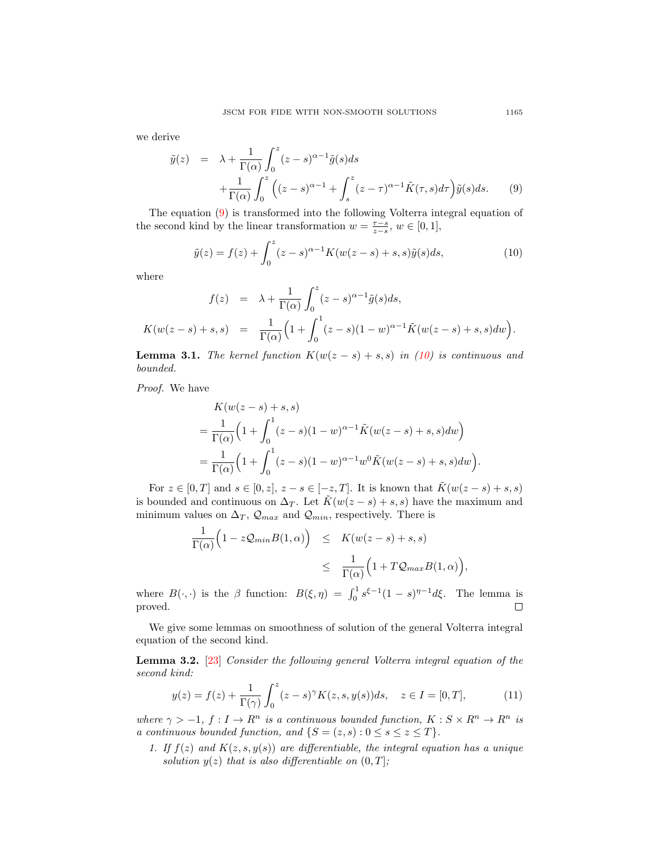we derive

<span id="page-4-0"></span>
$$
\tilde{y}(z) = \lambda + \frac{1}{\Gamma(\alpha)} \int_0^z (z - s)^{\alpha - 1} \tilde{g}(s) ds
$$
  
 
$$
+ \frac{1}{\Gamma(\alpha)} \int_0^z \left( (z - s)^{\alpha - 1} + \int_s^z (z - \tau)^{\alpha - 1} \tilde{K}(\tau, s) d\tau \right) \tilde{y}(s) ds.
$$
 (9)

The equation [\(9\)](#page-4-0) is transformed into the following Volterra integral equation of the second kind by the linear transformation  $w = \frac{\tau - s}{z - s}$ ,  $w \in [0, 1]$ ,

<span id="page-4-1"></span>
$$
\tilde{y}(z) = f(z) + \int_0^z (z - s)^{\alpha - 1} K(w(z - s) + s, s) \tilde{y}(s) ds,
$$
\n(10)

where

$$
f(z) = \lambda + \frac{1}{\Gamma(\alpha)} \int_0^z (z - s)^{\alpha - 1} \tilde{g}(s) ds,
$$
  

$$
K(w(z - s) + s, s) = \frac{1}{\Gamma(\alpha)} \Big( 1 + \int_0^1 (z - s)(1 - w)^{\alpha - 1} \tilde{K}(w(z - s) + s, s) dw \Big).
$$

**Lemma 3.1.** The kernel function  $K(w(z - s) + s, s)$  in [\(10\)](#page-4-1) is continuous and bounded.

Proof. We have

$$
K(w(z - s) + s, s)
$$
  
=  $\frac{1}{\Gamma(\alpha)} \Big( 1 + \int_0^1 (z - s)(1 - w)^{\alpha - 1} \tilde{K}(w(z - s) + s, s) dw \Big)$   
=  $\frac{1}{\Gamma(\alpha)} \Big( 1 + \int_0^1 (z - s)(1 - w)^{\alpha - 1} w^0 \tilde{K}(w(z - s) + s, s) dw \Big)$ 

For  $z \in [0, T]$  and  $s \in [0, z]$ ,  $z - s \in [-z, T]$ . It is known that  $\tilde{K}(w(z - s) + s, s)$ is bounded and continuous on  $\Delta_T$ . Let  $\tilde{K}(w(z - s) + s, s)$  have the maximum and minimum values on  $\Delta_T$ ,  $\mathcal{Q}_{max}$  and  $\mathcal{Q}_{min}$ , respectively. There is

$$
\frac{1}{\Gamma(\alpha)} \Big( 1 - z \mathcal{Q}_{min} B(1, \alpha) \Big) \leq K(w(z - s) + s, s)
$$
  

$$
\leq \frac{1}{\Gamma(\alpha)} \Big( 1 + T \mathcal{Q}_{max} B(1, \alpha) \Big),
$$

where  $B(\cdot, \cdot)$  is the  $\beta$  function:  $B(\xi, \eta) = \int_0^1 s^{\xi-1} (1-s)^{\eta-1} d\xi$ . The lemma is proved. □

We give some lemmas on smoothness of solution of the general Volterra integral equation of the second kind.

Lemma 3.2. [\[23\]](#page-28-15) Consider the following general Volterra integral equation of the second kind:

$$
y(z) = f(z) + \frac{1}{\Gamma(\gamma)} \int_0^z (z - s)^\gamma K(z, s, y(s)) ds, \quad z \in I = [0, T],
$$
 (11)

where  $\gamma > -1$ ,  $f: I \to R^n$  is a continuous bounded function,  $K: S \times R^n \to R^n$  is a continuous bounded function, and  $\{S = (z, s) : 0 \le s \le z \le T\}.$ 

1. If  $f(z)$  and  $K(z, s, y(s))$  are differentiable, the integral equation has a unique solution  $y(z)$  that is also differentiable on  $(0, T]$ ;

.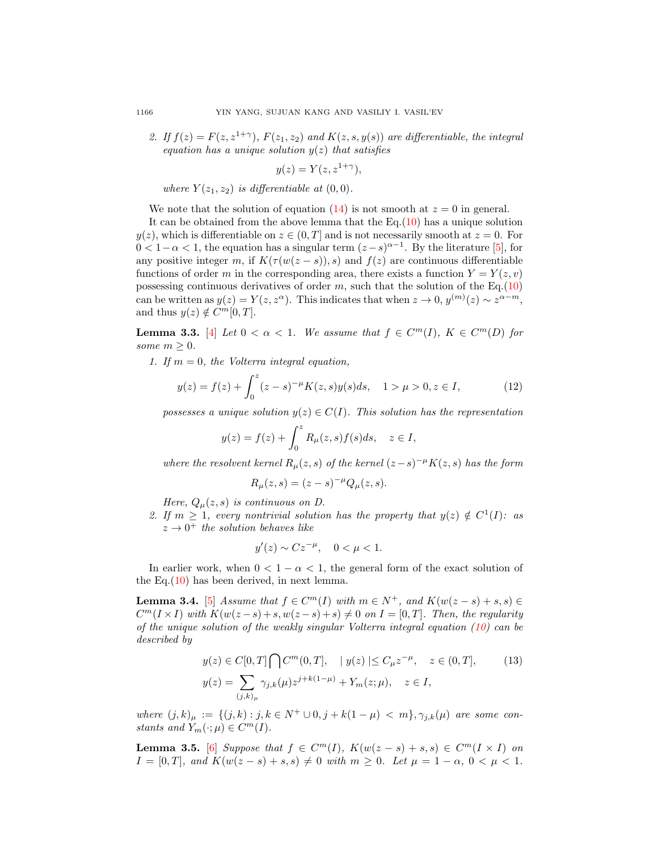2. If  $f(z) = F(z, z^{1+\gamma})$ ,  $F(z_1, z_2)$  and  $K(z, s, y(s))$  are differentiable, the integral equation has a unique solution  $y(z)$  that satisfies

$$
y(z) = Y(z, z^{1+\gamma}),
$$

where  $Y(z_1, z_2)$  is differentiable at  $(0, 0)$ .

We note that the solution of equation [\(14\)](#page-6-0) is not smooth at  $z = 0$  in general.

It can be obtained from the above lemma that the Eq. $(10)$  has a unique solution  $y(z)$ , which is differentiable on  $z \in (0, T]$  and is not necessarily smooth at  $z = 0$ . For  $0 < 1 - \alpha < 1$ , the equation has a singular term  $(z - s)^{\alpha - 1}$ . By the literature [\[5\]](#page-27-16), for any positive integer m, if  $K(\tau(w(z - s)), s)$  and  $f(z)$  are continuous differentiable functions of order m in the corresponding area, there exists a function  $Y = Y(z, v)$ possessing continuous derivatives of order  $m$ , such that the solution of the Eq.[\(10\)](#page-4-1) can be written as  $y(z) = Y(z, z^{\alpha})$ . This indicates that when  $z \to 0$ ,  $y^{(m)}(z) \sim z^{\alpha - m}$ , and thus  $y(z) \notin C^m[0, T]$ .

**Lemma 3.3.** [\[4\]](#page-27-17) Let  $0 < \alpha < 1$ . We assume that  $f \in C^m(I)$ ,  $K \in C^m(D)$  for some  $m > 0$ .

1. If  $m = 0$ , the Volterra integral equation,

$$
y(z) = f(z) + \int_0^z (z - s)^{-\mu} K(z, s) y(s) ds, \quad 1 > \mu > 0, z \in I,
$$
 (12)

possesses a unique solution  $y(z) \in C(I)$ . This solution has the representation

$$
y(z) = f(z) + \int_0^z R_\mu(z, s) f(s) ds, \quad z \in I,
$$

where the resolvent kernel  $R_{\mu}(z, s)$  of the kernel  $(z-s)^{-\mu}K(z, s)$  has the form

$$
R_{\mu}(z,s) = (z - s)^{-\mu} Q_{\mu}(z,s).
$$

Here,  $Q_{\mu}(z, s)$  is continuous on D.

2. If  $m \geq 1$ , every nontrivial solution has the property that  $y(z) \notin C^1(I)$ : as  $z \rightarrow 0^+$  the solution behaves like

$$
y'(z) \sim C z^{-\mu}, \quad 0 < \mu < 1.
$$

In earlier work, when  $0 < 1 - \alpha < 1$ , the general form of the exact solution of the Eq.[\(10\)](#page-4-1) has been derived, in next lemma.

**Lemma 3.4.** [\[5\]](#page-27-16) Assume that  $f \in C^m(I)$  with  $m \in N^+$ , and  $K(w(z - s) + s, s) \in$  $C<sup>m</sup>(I \times I)$  with  $K(w(z - s) + s, w(z - s) + s) \neq 0$  on  $I = [0, T]$ . Then, the regularity of the unique solution of the weakly singular Volterra integral equation [\(10\)](#page-4-1) can be described by

<span id="page-5-0"></span>
$$
y(z) \in C[0, T] \bigcap C^m(0, T], \quad |y(z)| \le C_{\mu} z^{-\mu}, \quad z \in (0, T],
$$
  

$$
y(z) = \sum_{(j,k)_{\mu}} \gamma_{j,k}(\mu) z^{j+k(1-\mu)} + Y_m(z; \mu), \quad z \in I,
$$
 (13)

where  $(j, k)_{\mu} := \{(j, k) : j, k \in N^+ \cup 0, j + k(1 - \mu) < m\}, \gamma_{j,k}(\mu)$  are some constants and  $Y_m(\cdot; \mu) \in C^m(I)$ .

<span id="page-5-1"></span>**Lemma 3.5.** [\[6\]](#page-27-18) Suppose that  $f \in C^m(I)$ ,  $K(w(z-s) + s, s) \in C^m(I \times I)$  on  $I = [0, T]$ , and  $K(w(z - s) + s, s) \neq 0$  with  $m \geq 0$ . Let  $\mu = 1 - \alpha, 0 < \mu < 1$ .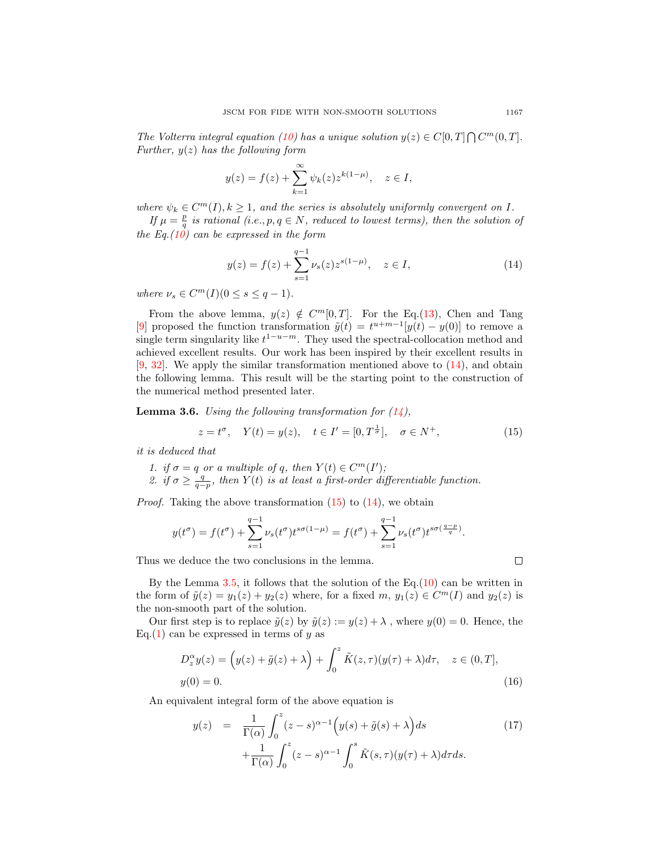The Volterra integral equation [\(10\)](#page-4-1) has a unique solution  $y(z) \in C[0,T] \bigcap C^m(0,T]$ . Further,  $y(z)$  has the following form

$$
y(z) = f(z) + \sum_{k=1}^{\infty} \psi_k(z) z^{k(1-\mu)}, \quad z \in I,
$$

where  $\psi_k \in C^m(I), k \geq 1$ , and the series is absolutely uniformly convergent on I.

If  $\mu = \frac{p}{q}$  is rational (i.e., p,  $q \in N$ , reduced to lowest terms), then the solution of the Eq.  $(10)$  can be expressed in the form

<span id="page-6-0"></span>
$$
y(z) = f(z) + \sum_{s=1}^{q-1} \nu_s(z) z^{s(1-\mu)}, \quad z \in I,
$$
\n(14)

where  $\nu_s \in C^m(I) (0 \le s \le q-1)$ .

From the above lemma,  $y(z) \notin C^m[0,T]$ . For the Eq.[\(13\)](#page-5-0), Chen and Tang [\[9\]](#page-27-12) proposed the function transformation  $\tilde{y}(t) = t^{u+m-1}[y(t) - y(0)]$  to remove a single term singularity like  $t^{1-u-m}$ . They used the spectral-collocation method and achieved excellent results. Our work has been inspired by their excellent results in  $[9, 32]$  $[9, 32]$  $[9, 32]$ . We apply the similar transformation mentioned above to  $(14)$ , and obtain the following lemma. This result will be the starting point to the construction of the numerical method presented later.

**Lemma 3.6.** Using the following transformation for  $(14)$ ,

<span id="page-6-1"></span>
$$
z = t^{\sigma}
$$
,  $Y(t) = y(z)$ ,  $t \in I' = [0, T^{\frac{1}{\sigma}}]$ ,  $\sigma \in N^{+}$ , (15)

it is deduced that

- 1. if  $\sigma = q$  or a multiple of q, then  $Y(t) \in C<sup>m</sup>(I')$ ;
- 2. if  $\sigma \geq \frac{q}{q-p}$ , then  $Y(t)$  is at least a first-order differentiable function.

*Proof.* Taking the above transformation  $(15)$  to  $(14)$ , we obtain

$$
y(t^{\sigma}) = f(t^{\sigma}) + \sum_{s=1}^{q-1} \nu_s(t^{\sigma}) t^{s\sigma(1-\mu)} = f(t^{\sigma}) + \sum_{s=1}^{q-1} \nu_s(t^{\sigma}) t^{s\sigma(\frac{q-p}{q})}.
$$

Thus we deduce the two conclusions in the lemma.

By the Lemma  $3.5$ , it follows that the solution of the Eq.[\(10\)](#page-4-1) can be written in the form of  $\tilde{y}(z) = y_1(z) + y_2(z)$  where, for a fixed  $m, y_1(z) \in C^m(I)$  and  $y_2(z)$  is the non-smooth part of the solution.

Our first step is to replace  $\tilde{y}(z)$  by  $\tilde{y}(z) := y(z) + \lambda$ , where  $y(0) = 0$ . Hence, the Eq.[\(1\)](#page-2-3) can be expressed in terms of  $y$  as

<span id="page-6-3"></span>
$$
D_z^{\alpha}y(z) = (y(z) + \tilde{g}(z) + \lambda) + \int_0^z \tilde{K}(z, \tau)(y(\tau) + \lambda)d\tau, \quad z \in (0, T],
$$
  
 
$$
y(0) = 0.
$$
 (16)

An equivalent integral form of the above equation is

<span id="page-6-2"></span>
$$
y(z) = \frac{1}{\Gamma(\alpha)} \int_0^z (z - s)^{\alpha - 1} \left( y(s) + \tilde{g}(s) + \lambda \right) ds
$$
  
 
$$
+ \frac{1}{\Gamma(\alpha)} \int_0^z (z - s)^{\alpha - 1} \int_0^s \tilde{K}(s, \tau) (y(\tau) + \lambda) d\tau ds.
$$
 (17)

 $\Box$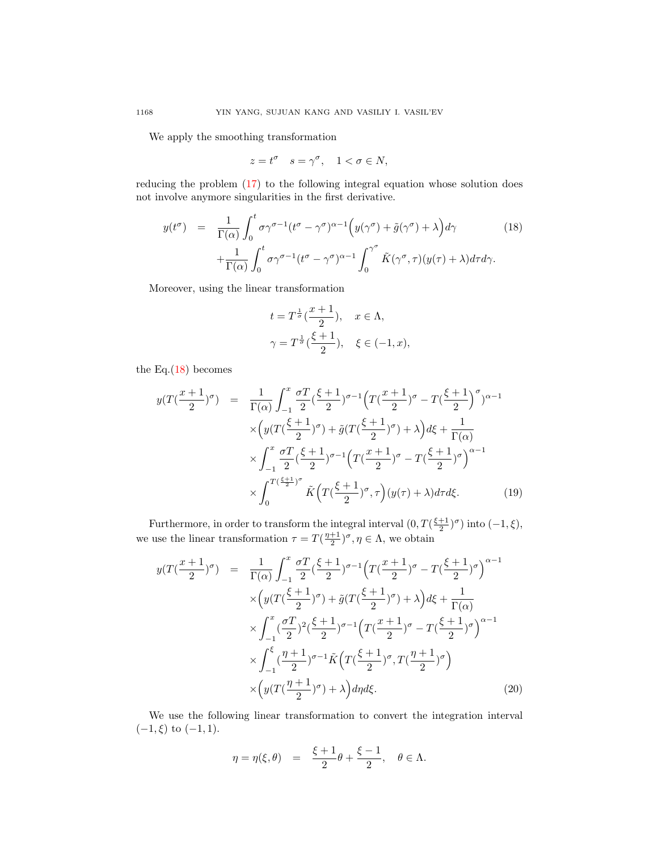We apply the smoothing transformation

$$
z = t^{\sigma} \quad s = \gamma^{\sigma}, \quad 1 < \sigma \in N,
$$

reducing the problem [\(17\)](#page-6-2) to the following integral equation whose solution does not involve anymore singularities in the first derivative.

<span id="page-7-0"></span>
$$
y(t^{\sigma}) = \frac{1}{\Gamma(\alpha)} \int_0^t \sigma \gamma^{\sigma-1} (t^{\sigma} - \gamma^{\sigma})^{\alpha-1} \Big( y(\gamma^{\sigma}) + \tilde{g}(\gamma^{\sigma}) + \lambda \Big) d\gamma
$$
 (18)  
 
$$
+ \frac{1}{\Gamma(\alpha)} \int_0^t \sigma \gamma^{\sigma-1} (t^{\sigma} - \gamma^{\sigma})^{\alpha-1} \int_0^{\gamma^{\sigma}} \tilde{K}(\gamma^{\sigma}, \tau) (y(\tau) + \lambda) d\tau d\gamma.
$$

Moreover, using the linear transformation

$$
t = T^{\frac{1}{\sigma}}(\frac{x+1}{2}), \quad x \in \Lambda,
$$
  

$$
\gamma = T^{\frac{1}{\sigma}}(\frac{\xi+1}{2}), \quad \xi \in (-1, x),
$$

the Eq. $(18)$  becomes

$$
y(T(\frac{x+1}{2})^{\sigma}) = \frac{1}{\Gamma(\alpha)} \int_{-1}^{x} \frac{\sigma T}{2} (\frac{\xi+1}{2})^{\sigma-1} \left( T(\frac{x+1}{2})^{\sigma} - T(\frac{\xi+1}{2})^{\sigma} \right)^{\alpha-1}
$$
  

$$
\times \left( y(T(\frac{\xi+1}{2})^{\sigma}) + \tilde{g}(T(\frac{\xi+1}{2})^{\sigma}) + \lambda \right) d\xi + \frac{1}{\Gamma(\alpha)}
$$
  

$$
\times \int_{-1}^{x} \frac{\sigma T}{2} (\frac{\xi+1}{2})^{\sigma-1} \left( T(\frac{x+1}{2})^{\sigma} - T(\frac{\xi+1}{2})^{\sigma} \right)^{\alpha-1}
$$
  

$$
\times \int_{0}^{T(\frac{\xi+1}{2})^{\sigma}} \tilde{K} \left( T(\frac{\xi+1}{2})^{\sigma}, \tau \right) (y(\tau) + \lambda) d\tau d\xi.
$$
 (19)

Furthermore, in order to transform the integral interval  $(0, T(\frac{\xi+1}{2})^{\sigma})$  into  $(-1, \xi)$ , we use the linear transformation  $\tau = T(\frac{\eta+1}{2})^{\sigma}, \eta \in \Lambda$ , we obtain

<span id="page-7-1"></span>
$$
y(T(\frac{x+1}{2})^{\sigma}) = \frac{1}{\Gamma(\alpha)} \int_{-1}^{x} \frac{\sigma T}{2} (\frac{\xi+1}{2})^{\sigma-1} \left( T(\frac{x+1}{2})^{\sigma} - T(\frac{\xi+1}{2})^{\sigma} \right)^{\alpha-1} \times \left( y(T(\frac{\xi+1}{2})^{\sigma}) + \tilde{g}(T(\frac{\xi+1}{2})^{\sigma}) + \lambda \right) d\xi + \frac{1}{\Gamma(\alpha)} \times \int_{-1}^{x} (\frac{\sigma T}{2})^2 (\frac{\xi+1}{2})^{\sigma-1} \left( T(\frac{x+1}{2})^{\sigma} - T(\frac{\xi+1}{2})^{\sigma} \right)^{\alpha-1} \times \int_{-1}^{\xi} (\frac{\eta+1}{2})^{\sigma-1} \tilde{K} \left( T(\frac{\xi+1}{2})^{\sigma}, T(\frac{\eta+1}{2})^{\sigma} \right) \times \left( y(T(\frac{\eta+1}{2})^{\sigma}) + \lambda \right) d\eta d\xi.
$$
 (20)

We use the following linear transformation to convert the integration interval  $(-1,\xi)$  to  $(-1,1)$ .

$$
\eta = \eta(\xi, \theta) = \frac{\xi + 1}{2}\theta + \frac{\xi - 1}{2}, \quad \theta \in \Lambda.
$$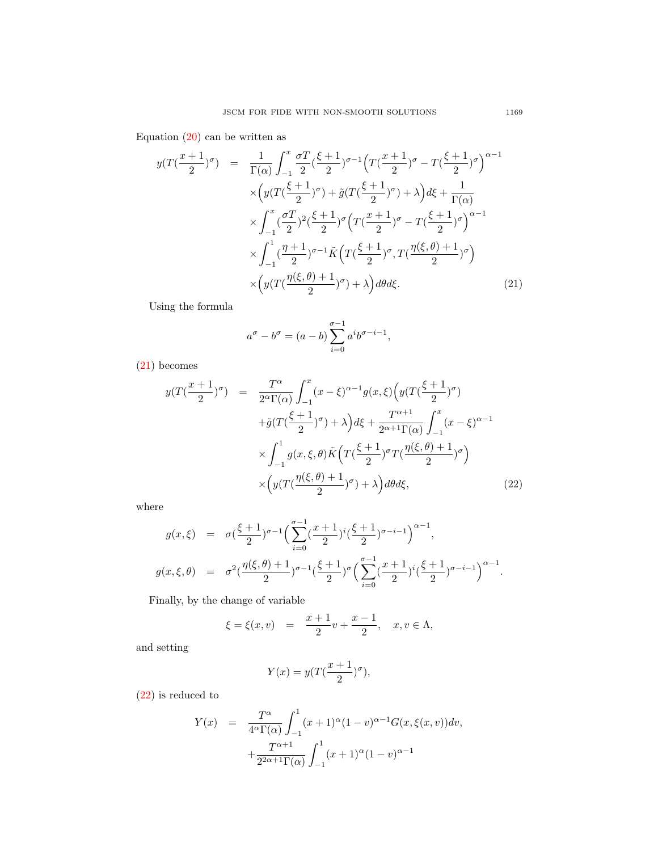Equation  $(20)$  can be written as

<span id="page-8-0"></span>
$$
y(T(\frac{x+1}{2})^{\sigma}) = \frac{1}{\Gamma(\alpha)} \int_{-1}^{x} \frac{\sigma T}{2} (\frac{\xi+1}{2})^{\sigma-1} \left( T(\frac{x+1}{2})^{\sigma} - T(\frac{\xi+1}{2})^{\sigma} \right)^{\alpha-1} \times \left( y(T(\frac{\xi+1}{2})^{\sigma}) + \tilde{g}(T(\frac{\xi+1}{2})^{\sigma}) + \lambda \right) d\xi + \frac{1}{\Gamma(\alpha)} \times \int_{-1}^{x} (\frac{\sigma T}{2})^2 (\frac{\xi+1}{2})^{\sigma} \left( T(\frac{x+1}{2})^{\sigma} - T(\frac{\xi+1}{2})^{\sigma} \right)^{\alpha-1} \times \int_{-1}^{1} (\frac{\eta+1}{2})^{\sigma-1} \tilde{K} \left( T(\frac{\xi+1}{2})^{\sigma}, T(\frac{\eta(\xi,\theta)+1}{2})^{\sigma} \right) \times \left( y(T(\frac{\eta(\xi,\theta)+1}{2})^{\sigma}) + \lambda \right) d\theta d\xi.
$$
 (21)

Using the formula

$$
a^{\sigma} - b^{\sigma} = (a - b) \sum_{i=0}^{\sigma-1} a^i b^{\sigma-i-1},
$$

[\(21\)](#page-8-0) becomes

<span id="page-8-1"></span>
$$
y(T(\frac{x+1}{2})^{\sigma}) = \frac{T^{\alpha}}{2^{\alpha}\Gamma(\alpha)} \int_{-1}^{x} (x-\xi)^{\alpha-1} g(x,\xi) \left( y(T(\frac{\xi+1}{2})^{\sigma}) + \tilde{g}(T(\frac{\xi+1}{2})^{\sigma}) + \lambda \right) d\xi + \frac{T^{\alpha+1}}{2^{\alpha+1}\Gamma(\alpha)} \int_{-1}^{x} (x-\xi)^{\alpha-1} \times \int_{-1}^{1} g(x,\xi,\theta) \tilde{K} \left( T(\frac{\xi+1}{2})^{\sigma} T(\frac{\eta(\xi,\theta)+1}{2})^{\sigma} \right) \times \left( y(T(\frac{\eta(\xi,\theta)+1}{2})^{\sigma}) + \lambda \right) d\theta d\xi, \tag{22}
$$

where

$$
g(x,\xi) = \sigma\left(\frac{\xi+1}{2}\right)^{\sigma-1} \left(\sum_{i=0}^{\sigma-1} \left(\frac{x+1}{2}\right)^i \left(\frac{\xi+1}{2}\right)^{\sigma-i-1}\right)^{\alpha-1},
$$
  

$$
g(x,\xi,\theta) = \sigma^2\left(\frac{\eta(\xi,\theta)+1}{2}\right)^{\sigma-1} \left(\frac{\xi+1}{2}\right)^{\sigma} \left(\sum_{i=0}^{\sigma-1} \left(\frac{x+1}{2}\right)^i \left(\frac{\xi+1}{2}\right)^{\sigma-i-1}\right)^{\alpha-1}.
$$

Finally, by the change of variable

$$
\xi = \xi(x, v) = \frac{x+1}{2}v + \frac{x-1}{2}, \quad x, v \in \Lambda,
$$

and setting

$$
Y(x) = y(T(\frac{x+1}{2})^{\sigma}),
$$

[\(22\)](#page-8-1) is reduced to

<span id="page-8-2"></span>
$$
Y(x) = \frac{T^{\alpha}}{4^{\alpha}\Gamma(\alpha)} \int_{-1}^{1} (x+1)^{\alpha} (1-v)^{\alpha-1} G(x,\xi(x,v)) dv,
$$
  
+ 
$$
\frac{T^{\alpha+1}}{2^{2\alpha+1}\Gamma(\alpha)} \int_{-1}^{1} (x+1)^{\alpha} (1-v)^{\alpha-1}
$$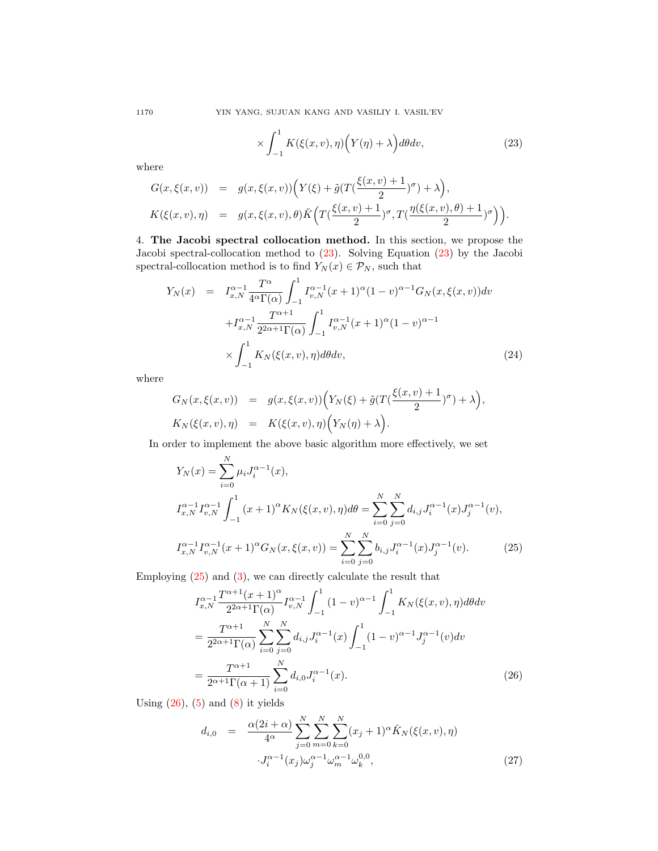$$
\times \int_{-1}^{1} K(\xi(x,v), \eta) \Big( Y(\eta) + \lambda \Big) d\theta dv, \tag{23}
$$

where

$$
G(x,\xi(x,v)) = g(x,\xi(x,v))\Big(Y(\xi) + \tilde{g}(T(\frac{\xi(x,v)+1}{2})^{\sigma}) + \lambda\Big),
$$
  

$$
K(\xi(x,v),\eta) = g(x,\xi(x,v),\theta)\tilde{K}\Big(T(\frac{\xi(x,v)+1}{2})^{\sigma},T(\frac{\eta(\xi(x,v),\theta)+1}{2})^{\sigma}\Big)\Big).
$$

<span id="page-9-0"></span>4. The Jacobi spectral collocation method. In this section, we propose the Jacobi spectral-collocation method to [\(23\)](#page-8-2). Solving Equation [\(23\)](#page-8-2) by the Jacobi spectral-collocation method is to find  $Y_N(x) \in \mathcal{P}_N$ , such that

<span id="page-9-3"></span>
$$
Y_N(x) = I_{x,N}^{\alpha-1} \frac{T^{\alpha}}{4^{\alpha} \Gamma(\alpha)} \int_{-1}^{1} I_{v,N}^{\alpha-1}(x+1)^{\alpha} (1-v)^{\alpha-1} G_N(x,\xi(x,v)) dv
$$
  
+
$$
I_{x,N}^{\alpha-1} \frac{T^{\alpha+1}}{2^{2\alpha+1} \Gamma(\alpha)} \int_{-1}^{1} I_{v,N}^{\alpha-1}(x+1)^{\alpha} (1-v)^{\alpha-1}
$$
  

$$
\times \int_{-1}^{1} K_N(\xi(x,v), \eta) d\theta dv,
$$
 (24)

where

$$
G_N(x,\xi(x,v)) = g(x,\xi(x,v)) \Big( Y_N(\xi) + \tilde{g}(T(\frac{\xi(x,v)+1}{2})^{\sigma}) + \lambda \Big),
$$
  

$$
K_N(\xi(x,v),\eta) = K(\xi(x,v),\eta) \Big( Y_N(\eta) + \lambda \Big).
$$

In order to implement the above basic algorithm more effectively, we set

<span id="page-9-1"></span>
$$
Y_N(x) = \sum_{i=0}^N \mu_i J_i^{\alpha - 1}(x),
$$
  
\n
$$
I_{x,N}^{\alpha - 1} I_{v,N}^{\alpha - 1} \int_{-1}^1 (x + 1)^\alpha K_N(\xi(x, v), \eta) d\theta = \sum_{i=0}^N \sum_{j=0}^N d_{i,j} J_i^{\alpha - 1}(x) J_j^{\alpha - 1}(v),
$$
  
\n
$$
I_{x,N}^{\alpha - 1} I_{v,N}^{\alpha - 1}(x + 1)^\alpha G_N(x, \xi(x, v)) = \sum_{i=0}^N \sum_{j=0}^N b_{i,j} J_i^{\alpha - 1}(x) J_j^{\alpha - 1}(v).
$$
 (25)

Employing [\(25\)](#page-9-1) and [\(3\)](#page-2-1), we can directly calculate the result that

<span id="page-9-2"></span>
$$
I_{x,N}^{\alpha-1} \frac{T^{\alpha+1}(x+1)^{\alpha}}{2^{2\alpha+1}\Gamma(\alpha)} I_{v,N}^{\alpha-1} \int_{-1}^{1} (1-v)^{\alpha-1} \int_{-1}^{1} K_N(\xi(x,v), \eta) d\theta dv
$$
  
= 
$$
\frac{T^{\alpha+1}}{2^{2\alpha+1}\Gamma(\alpha)} \sum_{i=0}^{N} \sum_{j=0}^{N} d_{i,j} J_i^{\alpha-1}(x) \int_{-1}^{1} (1-v)^{\alpha-1} J_j^{\alpha-1}(v) dv
$$
  
= 
$$
\frac{T^{\alpha+1}}{2^{\alpha+1}\Gamma(\alpha+1)} \sum_{i=0}^{N} d_{i,0} J_i^{\alpha-1}(x).
$$
 (26)

Using  $(26)$ ,  $(5)$  and  $(8)$  it yields

$$
d_{i,0} = \frac{\alpha(2i+\alpha)}{4^{\alpha}} \sum_{j=0}^{N} \sum_{m=0}^{N} \sum_{k=0}^{N} (x_j+1)^{\alpha} \hat{K}_N(\xi(x,v), \eta)
$$

$$
\cdot J_i^{\alpha-1}(x_j) \omega_j^{\alpha-1} \omega_m^{\alpha-1} \omega_k^{0,0}, \qquad (27)
$$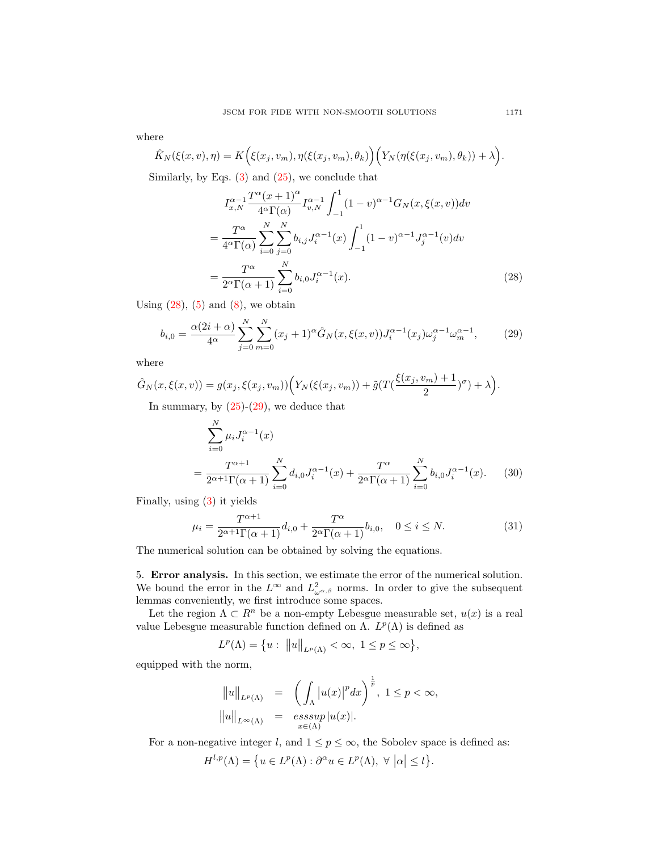where

$$
\hat{K}_N(\xi(x,v),\eta) = K\Big(\xi(x_j,v_m),\eta(\xi(x_j,v_m),\theta_k)\Big)\Big(Y_N(\eta(\xi(x_j,v_m),\theta_k)) + \lambda\Big).
$$

Similarly, by Eqs.  $(3)$  and  $(25)$ , we conclude that

<span id="page-10-1"></span>
$$
I_{x,N}^{\alpha-1} \frac{T^{\alpha}(x+1)^{\alpha}}{4^{\alpha}\Gamma(\alpha)} I_{v,N}^{\alpha-1} \int_{-1}^{1} (1-v)^{\alpha-1} G_N(x,\xi(x,v)) dv
$$
  
= 
$$
\frac{T^{\alpha}}{4^{\alpha}\Gamma(\alpha)} \sum_{i=0}^{N} \sum_{j=0}^{N} b_{i,j} J_i^{\alpha-1}(x) \int_{-1}^{1} (1-v)^{\alpha-1} J_j^{\alpha-1}(v) dv
$$
  
= 
$$
\frac{T^{\alpha}}{2^{\alpha}\Gamma(\alpha+1)} \sum_{i=0}^{N} b_{i,0} J_i^{\alpha-1}(x).
$$
 (28)

Using  $(28)$ ,  $(5)$  and  $(8)$ , we obtain

<span id="page-10-2"></span>
$$
b_{i,0} = \frac{\alpha(2i+\alpha)}{4^{\alpha}} \sum_{j=0}^{N} \sum_{m=0}^{N} (x_j+1)^{\alpha} \hat{G}_N(x,\xi(x,v)) J_i^{\alpha-1}(x_j) \omega_j^{\alpha-1} \omega_m^{\alpha-1},
$$
 (29)

where

$$
\hat{G}_N(x,\xi(x,v)) = g(x_j,\xi(x_j,v_m)) \Big( Y_N(\xi(x_j,v_m)) + \tilde{g}(T(\frac{\xi(x_j,v_m)+1}{2})^{\sigma}) + \lambda \Big).
$$

In summary, by  $(25)-(29)$  $(25)-(29)$ , we deduce that

$$
\sum_{i=0}^{N} \mu_i J_i^{\alpha - 1}(x)
$$
\n
$$
= \frac{T^{\alpha + 1}}{2^{\alpha + 1} \Gamma(\alpha + 1)} \sum_{i=0}^{N} d_{i,0} J_i^{\alpha - 1}(x) + \frac{T^{\alpha}}{2^{\alpha} \Gamma(\alpha + 1)} \sum_{i=0}^{N} b_{i,0} J_i^{\alpha - 1}(x). \tag{30}
$$

Finally, using [\(3\)](#page-2-1) it yields

$$
\mu_i = \frac{T^{\alpha+1}}{2^{\alpha+1}\Gamma(\alpha+1)}d_{i,0} + \frac{T^{\alpha}}{2^{\alpha}\Gamma(\alpha+1)}b_{i,0}, \quad 0 \le i \le N. \tag{31}
$$

The numerical solution can be obtained by solving the equations.

<span id="page-10-0"></span>5. Error analysis. In this section, we estimate the error of the numerical solution. We bound the error in the  $L^{\infty}$  and  $L^{2}_{\omega^{\alpha,\beta}}$  norms. In order to give the subsequent lemmas conveniently, we first introduce some spaces.

Let the region  $\Lambda \subset R^n$  be a non-empty Lebesgue measurable set,  $u(x)$  is a real value Lebesgue measurable function defined on Λ.  $L^p(Λ)$  is defined as

$$
L^{p}(\Lambda) = \{ u : ||u||_{L^{p}(\Lambda)} < \infty, \ 1 \le p \le \infty \},
$$

equipped with the norm,

$$
||u||_{L^{p}(\Lambda)} = \left(\int_{\Lambda} |u(x)|^{p} dx\right)^{\frac{1}{p}}, 1 \le p < \infty,
$$
  

$$
||u||_{L^{\infty}(\Lambda)} = \operatorname*{esssup}_{x \in (\Lambda)} |u(x)|.
$$

For a non-negative integer l, and  $1 \le p \le \infty$ , the Sobolev space is defined as:

$$
H^{l,p}(\Lambda) = \{ u \in L^p(\Lambda) : \partial^{\alpha} u \in L^p(\Lambda), \ \forall \ |\alpha| \le l \}.
$$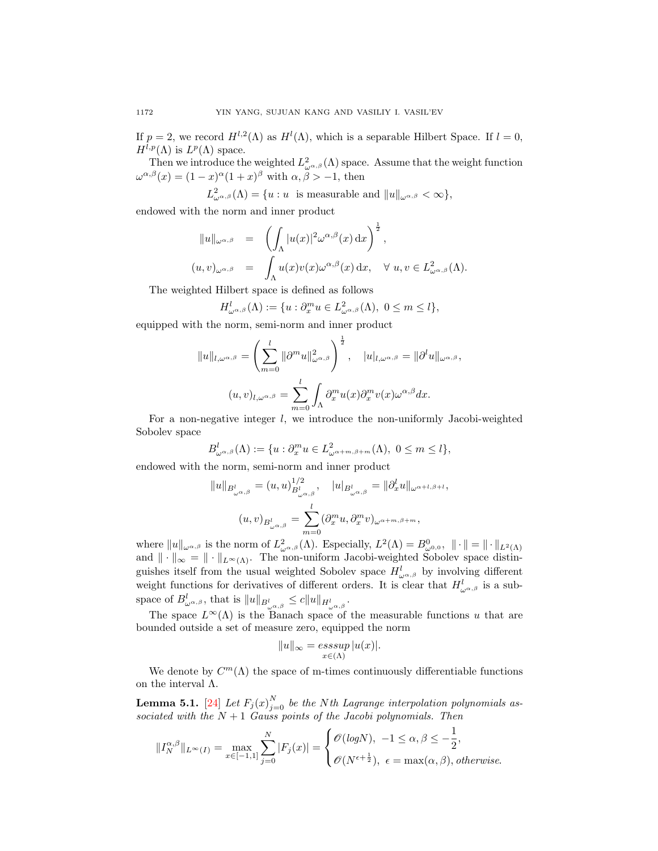If  $p = 2$ , we record  $H^{l,2}(\Lambda)$  as  $H^l(\Lambda)$ , which is a separable Hilbert Space. If  $l = 0$ ,  $H^{l,p}(\Lambda)$  is  $L^p(\Lambda)$  space.

Then we introduce the weighted  $L^2_{\omega^{\alpha,\beta}}(\Lambda)$  space. Assume that the weight function  $\omega^{\alpha,\beta}(x) = (1-x)^{\alpha}(1+x)^{\beta}$  with  $\alpha,\beta > -1$ , then

 $L^2_{\omega^{\alpha,\beta}}(\Lambda) = \{u : u \text{ is measurable and } ||u||_{\omega^{\alpha,\beta}} < \infty\},\$ 

endowed with the norm and inner product

$$
||u||_{\omega^{\alpha,\beta}} = \left(\int_{\Lambda} |u(x)|^2 \omega^{\alpha,\beta}(x) dx\right)^{\frac{1}{2}},
$$
  

$$
(u,v)_{\omega^{\alpha,\beta}} = \int_{\Lambda} u(x)v(x)\omega^{\alpha,\beta}(x) dx, \quad \forall u, v \in L^2_{\omega^{\alpha,\beta}}(\Lambda).
$$

The weighted Hilbert space is defined as follows

$$
H^l_{\omega^{\alpha,\beta}}(\Lambda):=\{u:\partial_x^mu\in L^2_{\omega^{\alpha,\beta}}(\Lambda),\ 0\leq m\leq l\},
$$

equipped with the norm, semi-norm and inner product

$$
||u||_{l,\omega^{\alpha,\beta}} = \left(\sum_{m=0}^{l} ||\partial^m u||_{\omega^{\alpha,\beta}}^2\right)^{\frac{1}{2}}, \quad |u|_{l,\omega^{\alpha,\beta}} = ||\partial^l u||_{\omega^{\alpha,\beta}},
$$

$$
(u,v)_{l,\omega^{\alpha,\beta}} = \sum_{m=0}^{l} \int_{\Lambda} \partial_x^m u(x) \partial_x^m v(x) \omega^{\alpha,\beta} dx.
$$

For a non-negative integer  $l$ , we introduce the non-uniformly Jacobi-weighted Sobolev space

$$
B_{\omega^{\alpha,\beta}}^l(\Lambda) := \{ u : \partial_x^m u \in L^2_{\omega^{\alpha+m,\beta+m}}(\Lambda), \ 0 \le m \le l \},
$$

endowed with the norm, semi-norm and inner product

$$
||u||_{B^l_{\omega^{\alpha,\beta}}} = (u, u)^{1/2}_{B^l_{\omega^{\alpha,\beta}}}, \quad |u|_{B^l_{\omega^{\alpha,\beta}}} = ||\partial_x^l u||_{\omega^{\alpha+l,\beta+l}},
$$

$$
(u, v)_{B^l_{\omega^{\alpha,\beta}}} = \sum_{m=0}^l (\partial_x^m u, \partial_x^m v)_{\omega^{\alpha+m,\beta+m}},
$$

where  $||u||_{\omega^{\alpha,\beta}}$  is the norm of  $L^2_{\omega^{\alpha,\beta}}(\Lambda)$ . Especially,  $L^2(\Lambda) = B^0_{\omega^{0,0}}, ||\cdot|| = ||\cdot||_{L^2(\Lambda)}$ and  $\|\cdot\|_{\infty} = \|\cdot\|_{L^{\infty}(\Lambda)}$ . The non-uniform Jacobi-weighted Sobolev space distinguishes itself from the usual weighted Sobolev space  $H_{\omega^{\alpha,\beta}}^{l}$  by involving different weight functions for derivatives of different orders. It is clear that  $H_{\omega^{\alpha,\beta}}^{l}$  is a subspace of  $B_{\omega^{\alpha,\beta}}^l$ , that is  $||u||_{B_{\omega^{\alpha,\beta}}^l} \leq c||u||_{H_{\omega^{\alpha,\beta}}^l}$ .

The space  $L^{\infty}(\Lambda)$  is the Banach space of the measurable functions u that are bounded outside a set of measure zero, equipped the norm

$$
||u||_{\infty} = \operatorname*{ess\,sup}_{x \in (\Lambda)} |u(x)|.
$$

We denote by  $C^m(\Lambda)$  the space of m-times continuously differentiable functions on the interval Λ.

<span id="page-11-0"></span>**Lemma 5.1.** [\[24\]](#page-28-17) Let  $F_j(x)_{j=0}^N$  be the Nth Lagrange interpolation polynomials associated with the  $N+1$  Gauss points of the Jacobi polynomials. Then

$$
\|I_N^{\alpha,\beta}\|_{L^\infty(I)}=\max_{x\in[-1,1]}\sum_{j=0}^N|F_j(x)|=\begin{cases} \mathscr{O}(\mathit{log} N),\ -1\leq \alpha,\beta\leq -\frac{1}{2},\\ \mathscr{O}(N^{\epsilon+\frac{1}{2}}),\ \epsilon=\max(\alpha,\beta),\mathit{otherwise}.\end{cases}
$$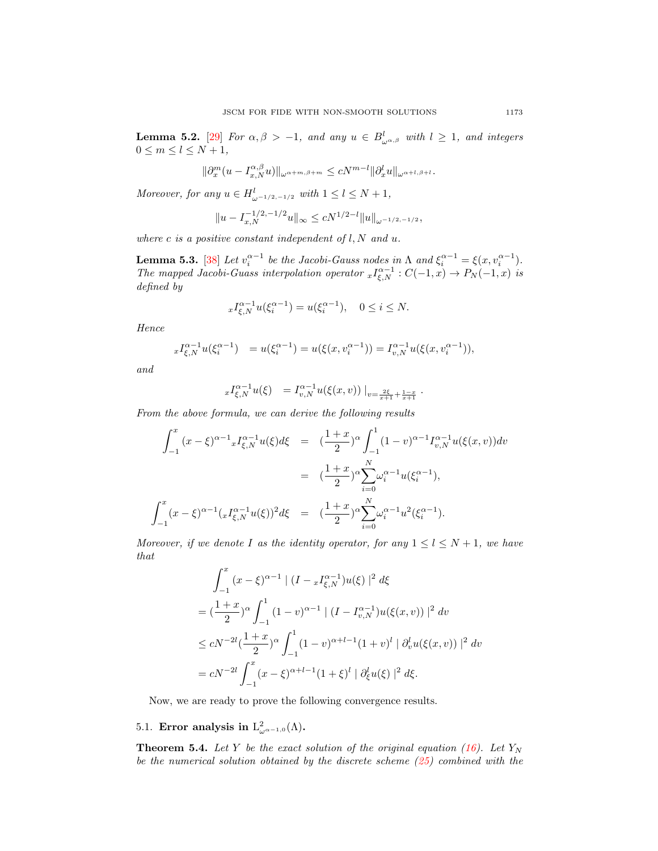<span id="page-12-1"></span>**Lemma 5.2.** [\[29\]](#page-28-18) For  $\alpha, \beta > -1$ , and any  $u \in B^l_{\omega^{\alpha,\beta}}$  with  $l \geq 1$ , and integers  $0 \leq m \leq l \leq N+1$ ,

$$
\|\partial_x^m(u-I_{x,N}^{\alpha,\beta}u)\|_{\omega^{\alpha+m,\beta+m}}\leq cN^{m-l}\|\partial_x^lu\|_{\omega^{\alpha+l,\beta+l}}.
$$

Moreover, for any  $u \in H_{\omega^{-1/2,-1/2}}^l$  with  $1 \leq l \leq N+1$ ,

$$
||u - I_{x,N}^{-1/2,-1/2}u||_{\infty} \le cN^{1/2-l}||u||_{\omega^{-1/2,-1/2}},
$$

where c is a positive constant independent of  $l, N$  and  $u$ .

<span id="page-12-0"></span>**Lemma 5.3.** [\[38\]](#page-28-13) Let  $v_i^{\alpha-1}$  be the Jacobi-Gauss nodes in  $\Lambda$  and  $\xi_i^{\alpha-1} = \xi(x, v_i^{\alpha-1})$ . The mapped Jacobi-Guass interpolation operator  ${}_xI_{\xi,N}^{\alpha-1}:C(-1,x)\to P_N(-1,x)$  is defined by

$$
xI_{\xi,N}^{\alpha-1}u(\xi_i^{\alpha-1}) = u(\xi_i^{\alpha-1}), \quad 0 \le i \le N.
$$

Hence

$$
{}_{x}I_{\xi,N}^{\alpha-1}u(\xi_i^{\alpha-1}) = u(\xi_i^{\alpha-1}) = u(\xi(x, v_i^{\alpha-1})) = I_{v,N}^{\alpha-1}u(\xi(x, v_i^{\alpha-1})),
$$

and

$$
{}_{x}I_{\xi,N}^{\alpha-1}u(\xi) = I_{v,N}^{\alpha-1}u(\xi(x,v))\big|_{v=\frac{2\xi}{x+1}+\frac{1-x}{x+1}}.
$$

From the above formula, we can derive the following results

$$
\int_{-1}^{x} (x - \xi)^{\alpha - 1} x I_{\xi, N}^{\alpha - 1} u(\xi) d\xi = \left( \frac{1 + x}{2} \right)^{\alpha} \int_{-1}^{1} (1 - v)^{\alpha - 1} I_{v, N}^{\alpha - 1} u(\xi(x, v)) dv
$$

$$
= \left( \frac{1 + x}{2} \right)^{\alpha} \sum_{i=0}^{N} \omega_i^{\alpha - 1} u(\xi_i^{\alpha - 1}),
$$

$$
\int_{-1}^{x} (x - \xi)^{\alpha - 1} (x I_{\xi, N}^{\alpha - 1} u(\xi))^2 d\xi = \left( \frac{1 + x}{2} \right)^{\alpha} \sum_{i=0}^{N} \omega_i^{\alpha - 1} u^2(\xi_i^{\alpha - 1}).
$$

Moreover, if we denote I as the identity operator, for any  $1 \leq l \leq N+1$ , we have that

$$
\int_{-1}^{x} (x - \xi)^{\alpha - 1} | (I - xI_{\xi,N}^{\alpha - 1})u(\xi) |^{2} d\xi
$$
  
=  $(\frac{1 + x}{2})^{\alpha} \int_{-1}^{1} (1 - v)^{\alpha - 1} | (I - I_{v,N}^{\alpha - 1})u(\xi(x, v)) |^{2} dv$   
 $\leq cN^{-2l} (\frac{1 + x}{2})^{\alpha} \int_{-1}^{1} (1 - v)^{\alpha + l - 1} (1 + v)^{l} | \partial_{v}^{l} u(\xi(x, v)) |^{2} dv$   
=  $cN^{-2l} \int_{-1}^{x} (x - \xi)^{\alpha + l - 1} (1 + \xi)^{l} | \partial_{\xi}^{l} u(\xi) |^{2} d\xi.$ 

Now, we are ready to prove the following convergence results.

# 5.1. Error analysis in  $L^2_{\omega^{\alpha-1,0}}(\Lambda)$ .

**Theorem 5.4.** Let Y be the exact solution of the original equation [\(16\)](#page-6-3). Let  $Y_N$ be the numerical solution obtained by the discrete scheme [\(25\)](#page-9-1) combined with the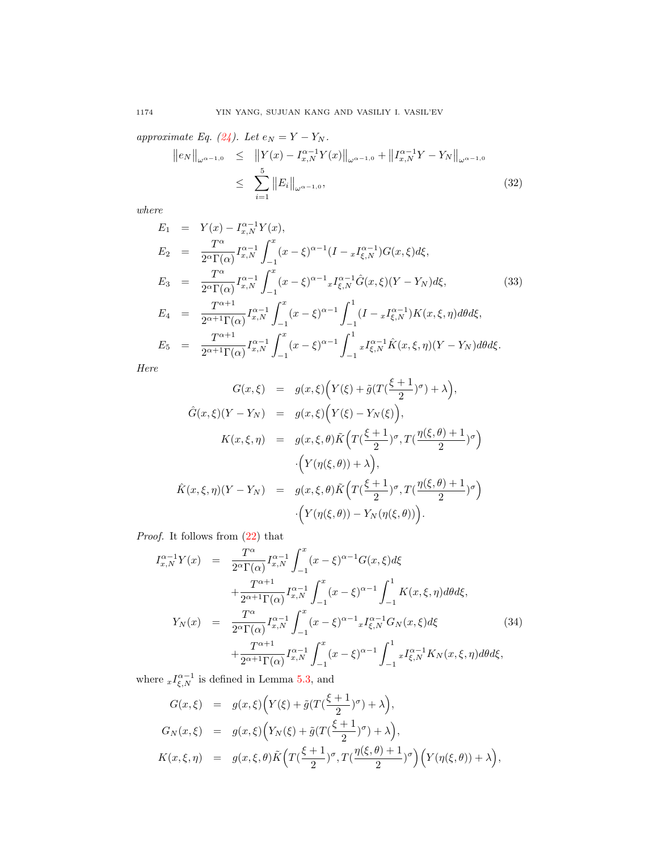approximate Eq. [\(24\)](#page-9-3). Let  $e_N = Y - Y_N$ .

<span id="page-13-1"></span>
$$
||e_N||_{\omega^{\alpha-1,0}} \le ||Y(x) - I_{x,N}^{\alpha-1}Y(x)||_{\omega^{\alpha-1,0}} + ||I_{x,N}^{\alpha-1}Y - Y_N||_{\omega^{\alpha-1,0}}
$$
  

$$
\le \sum_{i=1}^5 ||E_i||_{\omega^{\alpha-1,0}}, \tag{32}
$$

where

$$
E_1 = Y(x) - I_{x,N}^{\alpha-1} Y(x),
$$
  
\n
$$
E_2 = \frac{T^{\alpha}}{2^{\alpha} \Gamma(\alpha)} I_{x,N}^{\alpha-1} \int_{-1}^{x} (x - \xi)^{\alpha-1} (I - {}_{x}I_{\xi,N}^{\alpha-1}) G(x, \xi) d\xi,
$$
  
\n
$$
E_3 = \frac{T^{\alpha}}{2^{\alpha} \Gamma(\alpha)} I_{x,N}^{\alpha-1} \int_{-1}^{x} (x - \xi)^{\alpha-1} {}_{x}I_{\xi,N}^{\alpha-1} \hat{G}(x, \xi) (Y - Y_N) d\xi,
$$
  
\n
$$
E_4 = \frac{T^{\alpha+1}}{2^{\alpha+1} \Gamma(\alpha)} I_{x,N}^{\alpha-1} \int_{-1}^{x} (x - \xi)^{\alpha-1} \int_{-1}^{1} (I - {}_{x}I_{\xi,N}^{\alpha-1}) K(x, \xi, \eta) d\theta d\xi,
$$
  
\n
$$
E_5 = \frac{T^{\alpha+1}}{2^{\alpha+1} \Gamma(\alpha)} I_{x,N}^{\alpha-1} \int_{-1}^{x} (x - \xi)^{\alpha-1} \int_{-1}^{1} {}_{x}I_{\xi,N}^{\alpha-1} \hat{K}(x, \xi, \eta) (Y - Y_N) d\theta d\xi.
$$
  
\n(33)

Here

$$
G(x,\xi) = g(x,\xi) \Big( Y(\xi) + \tilde{g}(T(\frac{\xi+1}{2})^{\sigma}) + \lambda \Big),
$$
  

$$
\hat{G}(x,\xi) (Y - Y_N) = g(x,\xi) \Big( Y(\xi) - Y_N(\xi) \Big),
$$
  

$$
K(x,\xi,\eta) = g(x,\xi,\theta) \tilde{K} \Big( T(\frac{\xi+1}{2})^{\sigma}, T(\frac{\eta(\xi,\theta)+1}{2})^{\sigma} \Big)
$$
  

$$
\cdot \Big( Y(\eta(\xi,\theta)) + \lambda \Big),
$$
  

$$
\hat{K}(x,\xi,\eta) (Y - Y_N) = g(x,\xi,\theta) \tilde{K} \Big( T(\frac{\xi+1}{2})^{\sigma}, T(\frac{\eta(\xi,\theta)+1}{2})^{\sigma} \Big)
$$
  

$$
\cdot \Big( Y(\eta(\xi,\theta)) - Y_N(\eta(\xi,\theta)) \Big).
$$

Proof. It follows from [\(22\)](#page-8-1) that

<span id="page-13-0"></span>
$$
I_{x,N}^{\alpha-1} Y(x) = \frac{T^{\alpha}}{2^{\alpha} \Gamma(\alpha)} I_{x,N}^{\alpha-1} \int_{-1}^{x} (x - \xi)^{\alpha-1} G(x, \xi) d\xi
$$
  
+ 
$$
\frac{T^{\alpha+1}}{2^{\alpha+1} \Gamma(\alpha)} I_{x,N}^{\alpha-1} \int_{-1}^{x} (x - \xi)^{\alpha-1} \int_{-1}^{1} K(x, \xi, \eta) d\theta d\xi,
$$
  

$$
Y_N(x) = \frac{T^{\alpha}}{2^{\alpha} \Gamma(\alpha)} I_{x,N}^{\alpha-1} \int_{-1}^{x} (x - \xi)^{\alpha-1} x I_{\xi,N}^{\alpha-1} G_N(x, \xi) d\xi
$$
  
+ 
$$
\frac{T^{\alpha+1}}{2^{\alpha+1} \Gamma(\alpha)} I_{x,N}^{\alpha-1} \int_{-1}^{x} (x - \xi)^{\alpha-1} \int_{-1}^{1} x I_{\xi,N}^{\alpha-1} K_N(x, \xi, \eta) d\theta d\xi,
$$
  
(34)

where  $_xI_{\xi,N}^{\alpha-1}$  is defined in Lemma [5.3,](#page-12-0) and

$$
G(x,\xi) = g(x,\xi) \Big( Y(\xi) + \tilde{g}(T(\frac{\xi+1}{2})^{\sigma}) + \lambda \Big),
$$
  
\n
$$
G_N(x,\xi) = g(x,\xi) \Big( Y_N(\xi) + \tilde{g}(T(\frac{\xi+1}{2})^{\sigma}) + \lambda \Big),
$$
  
\n
$$
K(x,\xi,\eta) = g(x,\xi,\theta) \tilde{K} \Big( T(\frac{\xi+1}{2})^{\sigma}, T(\frac{\eta(\xi,\theta)+1}{2})^{\sigma} \Big) \Big( Y(\eta(\xi,\theta)) + \lambda \Big),
$$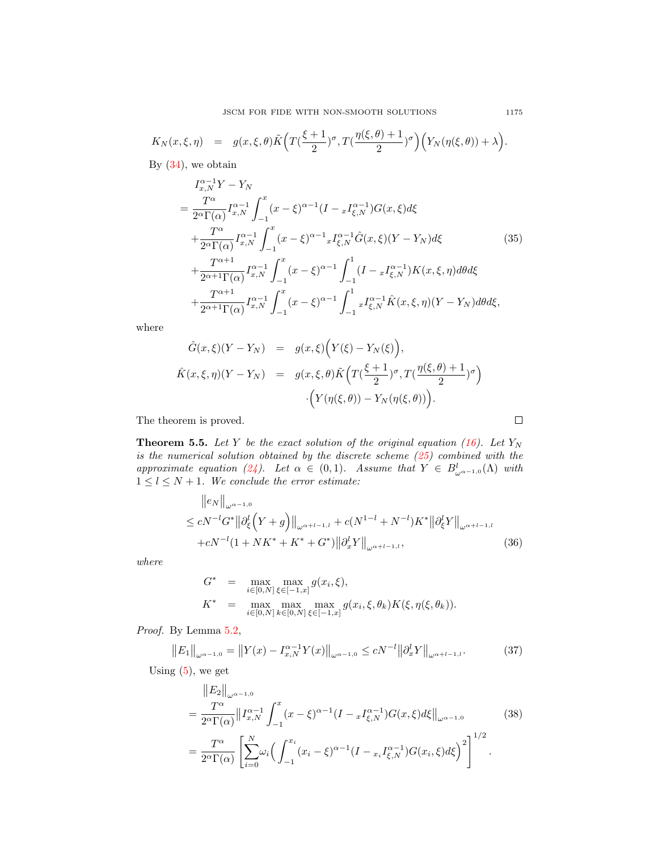$$
K_N(x,\xi,\eta) = g(x,\xi,\theta)\tilde{K}\Big(T\big(\frac{\xi+1}{2}\big)^{\sigma},T\big(\frac{\eta(\xi,\theta)+1}{2}\big)^{\sigma}\Big)\Big(Y_N(\eta(\xi,\theta))+\lambda\Big).
$$

By  $(34)$ , we obtain

$$
I_{x,N}^{\alpha-1}Y - Y_N
$$
  
= 
$$
\frac{T^{\alpha}}{2^{\alpha}\Gamma(\alpha)} I_{x,N}^{\alpha-1} \int_{-1}^{x} (x - \xi)^{\alpha-1} (I - x I_{\xi,N}^{\alpha-1}) G(x, \xi) d\xi
$$
  
+ 
$$
\frac{T^{\alpha}}{2^{\alpha}\Gamma(\alpha)} I_{x,N}^{\alpha-1} \int_{-1}^{x} (x - \xi)^{\alpha-1} x I_{\xi,N}^{\alpha-1} \hat{G}(x, \xi) (Y - Y_N) d\xi
$$
  
+ 
$$
\frac{T^{\alpha+1}}{2^{\alpha+1}\Gamma(\alpha)} I_{x,N}^{\alpha-1} \int_{-1}^{x} (x - \xi)^{\alpha-1} \int_{-1}^{1} (I - x I_{\xi,N}^{\alpha-1}) K(x, \xi, \eta) d\theta d\xi
$$
  
+ 
$$
\frac{T^{\alpha+1}}{2^{\alpha+1}\Gamma(\alpha)} I_{x,N}^{\alpha-1} \int_{-1}^{x} (x - \xi)^{\alpha-1} \int_{-1}^{1} x I_{\xi,N}^{\alpha-1} \hat{K}(x, \xi, \eta) (Y - Y_N) d\theta d\xi,
$$
 (35)

where

$$
\hat{G}(x,\xi)(Y - Y_N) = g(x,\xi)\Big(Y(\xi) - Y_N(\xi)\Big),
$$
  

$$
\hat{K}(x,\xi,\eta)(Y - Y_N) = g(x,\xi,\theta)\tilde{K}\Big(T\Big(\frac{\xi+1}{2}\Big)^{\sigma}, T\Big(\frac{\eta(\xi,\theta)+1}{2}\Big)^{\sigma}\Big)
$$

$$
\cdot\Big(Y(\eta(\xi,\theta)) - Y_N(\eta(\xi,\theta))\Big).
$$

The theorem is proved.

**Theorem 5.5.** Let Y be the exact solution of the original equation [\(16\)](#page-6-3). Let  $Y_N$ is the numerical solution obtained by the discrete scheme [\(25\)](#page-9-1) combined with the approximate equation [\(24\)](#page-9-3). Let  $\alpha \in (0,1)$ . Assume that  $Y \in B^l_{\omega^{\alpha-1,0}}(\Lambda)$  with  $1 \leq l \leq N+1$ . We conclude the error estimate:

$$
||e_N||_{\omega^{\alpha-1,0}}\le cN^{-l}G^*||\partial_{\xi}^l(Y+g)||_{\omega^{\alpha+l-1,l}} + c(N^{1-l}+N^{-l})K^*||\partial_{\xi}^lY||_{\omega^{\alpha+l-1,l}} + cN^{-l}(1+NK^*+K^*+G^*)||\partial_{x}^lY||_{\omega^{\alpha+l-1,l}},
$$
\n(36)

where

$$
G^* = \max_{i \in [0,N]} \max_{\xi \in [-1,x]} g(x_i, \xi),
$$
  
\n
$$
K^* = \max_{i \in [0,N]} \max_{k \in [0,N]} \max_{\xi \in [-1,x]} g(x_i, \xi, \theta_k) K(\xi, \eta(\xi, \theta_k)).
$$

Proof. By Lemma [5.2,](#page-12-1)

$$
||E_1||_{\omega^{\alpha-1,0}} = ||Y(x) - I_{x,N}^{\alpha-1}Y(x)||_{\omega^{\alpha-1,0}} \le cN^{-l} ||\partial_x^l Y||_{\omega^{\alpha+l-1,l}}.
$$
 (37)

Using  $(5)$ , we get

$$
\|E_2\|_{\omega^{\alpha-1,0}} \n= \frac{T^{\alpha}}{2^{\alpha}\Gamma(\alpha)} \|I_{x,N}^{\alpha-1}\int_{-1}^x (x-\xi)^{\alpha-1} (I - {}_xI_{\xi,N}^{\alpha-1}) G(x,\xi) d\xi\|_{\omega^{\alpha-1,0}} \qquad (38) \n= \frac{T^{\alpha}}{2^{\alpha}\Gamma(\alpha)} \left[ \sum_{i=0}^N \omega_i \left( \int_{-1}^{x_i} (x_i-\xi)^{\alpha-1} (I - {}_{x_i}I_{\xi,N}^{\alpha-1}) G(x_i,\xi) d\xi \right)^2 \right]^{1/2}.
$$

 $\Box$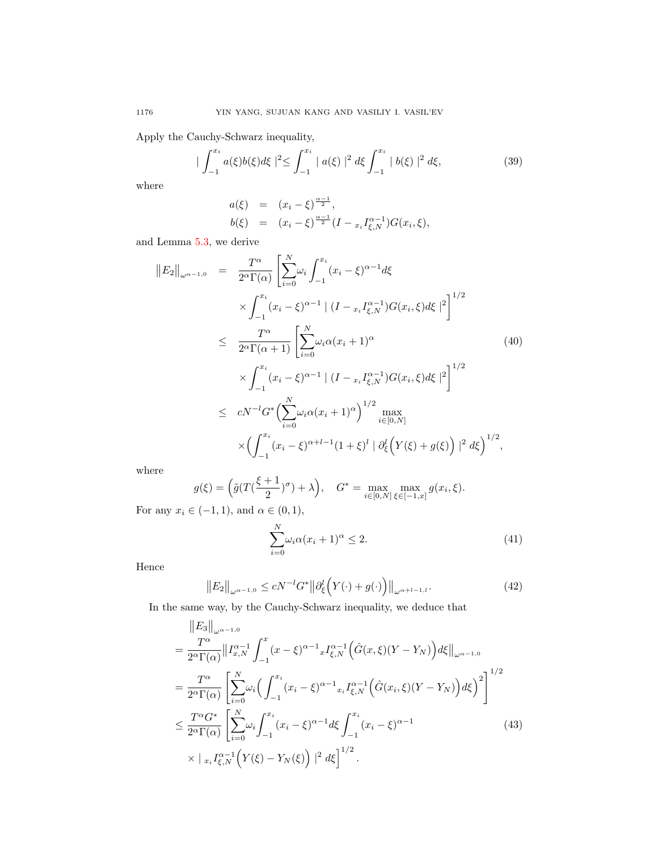Apply the Cauchy-Schwarz inequality,

$$
|\int_{-1}^{x_i} a(\xi)b(\xi)d\xi|^2 \le \int_{-1}^{x_i} |a(\xi)|^2 d\xi \int_{-1}^{x_i} |b(\xi)|^2 d\xi,
$$
 (39)

where

 $\overline{\phantom{a}}$ 

$$
a(\xi) = (x_i - \xi)^{\frac{\alpha - 1}{2}},
$$
  
\n
$$
b(\xi) = (x_i - \xi)^{\frac{\alpha - 1}{2}} (I - x_i I_{\xi, N}^{\alpha - 1}) G(x_i, \xi),
$$

and Lemma [5.3,](#page-12-0) we derive

$$
||E_2||_{\omega^{\alpha-1,0}} = \frac{T^{\alpha}}{2^{\alpha}\Gamma(\alpha)} \left[ \sum_{i=0}^{N} \omega_i \int_{-1}^{x_i} (x_i - \xi)^{\alpha-1} d\xi \right.
$$
  

$$
\times \int_{-1}^{x_i} (x_i - \xi)^{\alpha-1} | (I - x_i I_{\xi,N}^{\alpha-1}) G(x_i, \xi) d\xi |^2 \right]^{1/2}
$$
  

$$
\leq \frac{T^{\alpha}}{2^{\alpha}\Gamma(\alpha+1)} \left[ \sum_{i=0}^{N} \omega_i \alpha (x_i + 1)^{\alpha} \right]
$$
  

$$
\times \int_{-1}^{x_i} (x_i - \xi)^{\alpha-1} | (I - x_i I_{\xi,N}^{\alpha-1}) G(x_i, \xi) d\xi |^2 \right]^{1/2}
$$
  

$$
\leq cN^{-l} G^* \Big( \sum_{i=0}^{N} \omega_i \alpha (x_i + 1)^{\alpha} \Big)^{1/2} \max_{i \in [0, N]} \Big|
$$
  

$$
\times \Big( \int_{-1}^{x_i} (x_i - \xi)^{\alpha+l-1} (1 + \xi)^l | \partial_{\xi}^l \Big( Y(\xi) + g(\xi) \Big) |^2 d\xi \Big)^{1/2},
$$

where

$$
g(\xi) = \left(\tilde{g}(T(\frac{\xi+1}{2})^{\sigma}) + \lambda\right), \quad G^* = \max_{i \in [0, N]} \max_{\xi \in [-1, x]} g(x_i, \xi).
$$

For any  $x_i \in (-1,1)$ , and  $\alpha \in (0,1)$ ,

<span id="page-15-0"></span>
$$
\sum_{i=0}^{N} \omega_i \alpha (x_i + 1)^{\alpha} \le 2.
$$
\n(41)

Hence

$$
\|E_2\|_{\omega^{\alpha-1,0}} \le cN^{-l}G^*\|\partial_{\xi}^l\Big(Y(\cdot)+g(\cdot)\Big)\|_{\omega^{\alpha+l-1,l}}.\tag{42}
$$

In the same way, by the Cauchy-Schwarz inequality, we deduce that

$$
\|E_{3}\|_{\omega^{\alpha-1,0}}\n= \frac{T^{\alpha}}{2^{\alpha}\Gamma(\alpha)}\|I_{x,N}^{\alpha-1}\int_{-1}^{x}(x-\xi)^{\alpha-1}xI_{\xi,N}^{\alpha-1}(\hat{G}(x,\xi)(Y-Y_{N}))d\xi\|_{\omega^{\alpha-1,0}}\n= \frac{T^{\alpha}}{2^{\alpha}\Gamma(\alpha)}\left[\sum_{i=0}^{N}\omega_{i}\left(\int_{-1}^{x_{i}}(x_{i}-\xi)^{\alpha-1}x_{i}I_{\xi,N}^{\alpha-1}(\hat{G}(x_{i},\xi)(Y-Y_{N}))d\xi\right)^{2}\right]^{1/2}\n\leq \frac{T^{\alpha}G^{*}}{2^{\alpha}\Gamma(\alpha)}\left[\sum_{i=0}^{N}\omega_{i}\int_{-1}^{x_{i}}(x_{i}-\xi)^{\alpha-1}d\xi\int_{-1}^{x_{i}}(x_{i}-\xi)^{\alpha-1}\n\times |x_{i}I_{\xi,N}^{\alpha-1}(Y(\xi)-Y_{N}(\xi))|^{2}d\xi\right]^{1/2}.
$$
\n(43)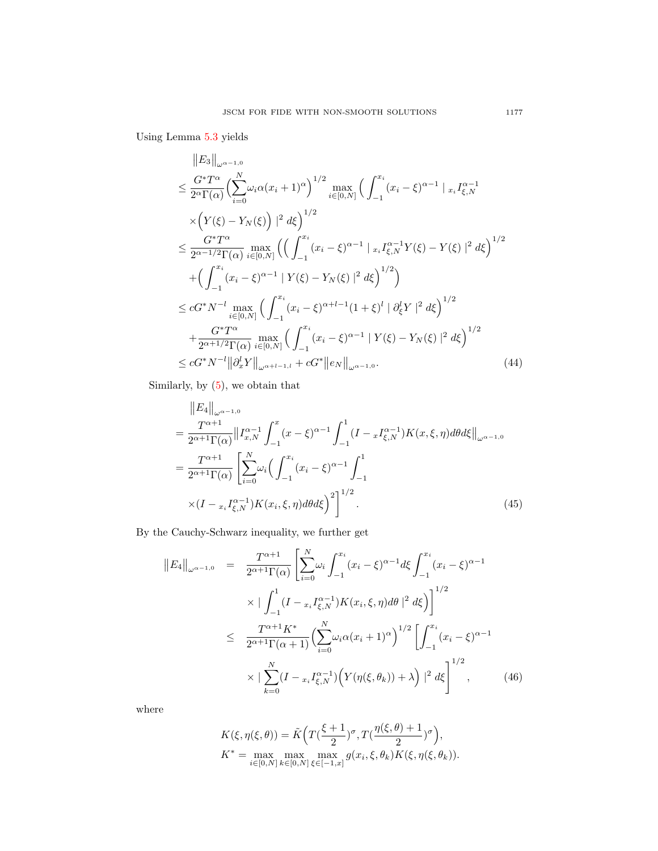Using Lemma [5.3](#page-12-0) yields

$$
\|E_3\|_{\omega^{\alpha-1,0}}\leq \frac{G^*T^{\alpha}}{2^{\alpha}\Gamma(\alpha)} \Big(\sum_{i=0}^N \omega_i \alpha(x_i+1)^{\alpha}\Big)^{1/2} \max_{i\in[0,N]} \Big(\int_{-1}^{x_i} (x_i-\xi)^{\alpha-1} |_{x_i} I_{\xi,N}^{\alpha-1} \times \Big(Y(\xi)-Y_N(\xi)\Big)|^2 d\xi\Big)^{1/2} \leq \frac{G^*T^{\alpha}}{2^{\alpha-1/2}\Gamma(\alpha)} \max_{i\in[0,N]} \Big(\Big(\int_{-1}^{x_i} (x_i-\xi)^{\alpha-1} |_{x_i} I_{\xi,N}^{\alpha-1} Y(\xi)-Y(\xi)|^2 d\xi\Big)^{1/2} \quad + \Big(\int_{-1}^{x_i} (x_i-\xi)^{\alpha-1} |Y(\xi)-Y_N(\xi)|^2 d\xi\Big)^{1/2}\Big) \leq cG^*N^{-l} \max_{i\in[0,N]} \Big(\int_{-1}^{x_i} (x_i-\xi)^{\alpha+l-1}(1+\xi)^l |d_{\xi}^l Y|^2 d\xi\Big)^{1/2} \quad + \frac{G^*T^{\alpha}}{2^{\alpha+1/2}\Gamma(\alpha)} \max_{i\in[0,N]} \Big(\int_{-1}^{x_i} (x_i-\xi)^{\alpha-1} |Y(\xi)-Y_N(\xi)|^2 d\xi\Big)^{1/2} \leq cG^*N^{-l} ||\partial_x^l Y||_{\omega^{\alpha+l-1,l}} + cG^* ||e_N||_{\omega^{\alpha-1,0}}.
$$
\n(44)

Similarly, by [\(5\)](#page-3-1), we obtain that

$$
\|E_4\|_{\omega^{\alpha-1,0}} \n= \frac{T^{\alpha+1}}{2^{\alpha+1}\Gamma(\alpha)} \|I_{x,N}^{\alpha-1} \int_{-1}^x (x-\xi)^{\alpha-1} \int_{-1}^1 (I - xI_{\xi,N}^{\alpha-1}) K(x,\xi,\eta) d\theta d\xi \|_{\omega^{\alpha-1,0}} \n= \frac{T^{\alpha+1}}{2^{\alpha+1}\Gamma(\alpha)} \left[ \sum_{i=0}^N \omega_i \Big( \int_{-1}^{x_i} (x_i - \xi)^{\alpha-1} \int_{-1}^1 K(x_i - \xi)^{\alpha-1} \Big) K(x_i, \xi, \eta) d\theta d\xi \right]^{1/2}.
$$
\n
$$
(45)
$$

By the Cauchy-Schwarz inequality, we further get

$$
||E_4||_{\omega^{\alpha-1,0}} = \frac{T^{\alpha+1}}{2^{\alpha+1}\Gamma(\alpha)} \left[ \sum_{i=0}^N \omega_i \int_{-1}^{x_i} (x_i - \xi)^{\alpha-1} d\xi \int_{-1}^{x_i} (x_i - \xi)^{\alpha-1} dx \right]
$$
  
 
$$
\times \left| \int_{-1}^1 (I - x_i I_{\xi,N}^{\alpha-1}) K(x_i, \xi, \eta) d\theta \right|^2 d\xi \right]^{1/2}
$$
  
 
$$
\leq \frac{T^{\alpha+1} K^*}{2^{\alpha+1} \Gamma(\alpha+1)} \left( \sum_{i=0}^N \omega_i \alpha (x_i + 1)^{\alpha} \right)^{1/2} \left[ \int_{-1}^{x_i} (x_i - \xi)^{\alpha-1} dx \right]
$$
  
 
$$
\times \left| \sum_{k=0}^N (I - x_i I_{\xi,N}^{\alpha-1}) \left( Y(\eta(\xi, \theta_k)) + \lambda \right)^2 d\xi \right]^{1/2}, \qquad (46)
$$

where

$$
K(\xi, \eta(\xi, \theta)) = \tilde{K}\left(T\left(\frac{\xi+1}{2}\right)^{\sigma}, T\left(\frac{\eta(\xi, \theta)+1}{2}\right)^{\sigma}\right),
$$
  

$$
K^* = \max_{i \in [0, N]} \max_{k \in [0, N]} \max_{\xi \in [-1, x]} g(x_i, \xi, \theta_k) K(\xi, \eta(\xi, \theta_k)).
$$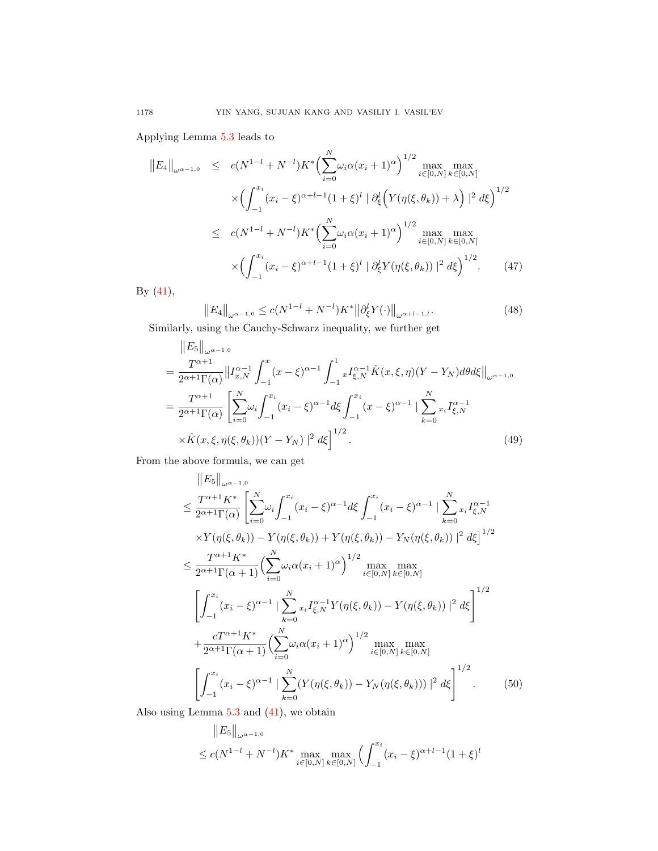Applying Lemma [5.3](#page-12-0) leads to

$$
||E_4||_{\omega^{\alpha-1,0}} \le c(N^{1-l} + N^{-l})K^* \Big(\sum_{i=0}^N \omega_i \alpha(x_i+1)^\alpha\Big)^{1/2} \max_{i \in [0,N]} \max_{k \in [0,N]} \max_{k \in [0,N]} \times \Big(\int_{-1}^{x_i} (x_i - \xi)^{\alpha+l-1} (1 + \xi)^l \mid \partial_{\xi}^l \Big(Y(\eta(\xi, \theta_k)) + \lambda\Big)^{2} d\xi\Big)^{1/2}
$$
  

$$
\le c(N^{1-l} + N^{-l})K^* \Big(\sum_{i=0}^N \omega_i \alpha(x_i+1)^\alpha\Big)^{1/2} \max_{i \in [0,N]} \max_{k \in [0,N]} \max_{k \in [0,N]} \times \Big(\int_{-1}^{x_i} (x_i - \xi)^{\alpha+l-1} (1 + \xi)^l \mid \partial_{\xi}^l Y(\eta(\xi, \theta_k)) \mid^2 d\xi\Big)^{1/2}.
$$
 (47)

By  $(41)$ ,

$$
||E_4||_{\omega^{\alpha-1,0}} \le c(N^{1-l} + N^{-l})K^* ||\partial_{\xi}^l Y(\cdot)||_{\omega^{\alpha+l-1,l}}.
$$
\n(48)

Similarly, using the Cauchy-Schwarz inequality, we further get

$$
\|E_5\|_{\omega^{\alpha-1,0}} \n= \frac{T^{\alpha+1}}{2^{\alpha+1}\Gamma(\alpha)} \|I_{x,N}^{\alpha-1} \int_{-1}^x (x-\xi)^{\alpha-1} \int_{-1}^1 x I_{\xi,N}^{\alpha-1} \hat{K}(x,\xi,\eta)(Y-Y_N) d\theta d\xi \|_{\omega^{\alpha-1,0}} \n= \frac{T^{\alpha+1}}{2^{\alpha+1}\Gamma(\alpha)} \left[ \sum_{i=0}^N \omega_i \int_{-1}^{x_i} (x_i-\xi)^{\alpha-1} d\xi \int_{-1}^{x_i} (x-\xi)^{\alpha-1} \left| \sum_{k=0}^N x_i I_{\xi,N}^{\alpha-1} \right| \right. \n\times \hat{K}(x,\xi,\eta(\xi,\theta_k))(Y-Y_N) \left|^2 d\xi \right]^{1/2}.
$$
\n(49)

From the above formula, we can get

$$
||E_5||_{\omega^{\alpha-1,0}}\n\leq \frac{T^{\alpha+1}K^*}{2^{\alpha+1}\Gamma(\alpha)} \left[ \sum_{i=0}^N \omega_i \int_{-1}^{x_i} (x_i - \xi)^{\alpha-1} d\xi \int_{-1}^{x_i} (x_i - \xi)^{\alpha-1} |\sum_{k=0}^N x_i I_{\xi,N}^{\alpha-1} \right]
$$
\n
$$
\times Y(\eta(\xi, \theta_k)) - Y(\eta(\xi, \theta_k)) + Y(\eta(\xi, \theta_k)) - Y_N(\eta(\xi, \theta_k))|^2 d\xi \right]^{1/2}
$$
\n
$$
\leq \frac{T^{\alpha+1}K^*}{2^{\alpha+1}\Gamma(\alpha+1)} \left( \sum_{i=0}^N \omega_i \alpha(x_i + 1)^{\alpha} \right)^{1/2} \max_{i \in [0, N]} \max_{k \in [0, N]} \left[ \int_{-1}^{x_i} (x_i - \xi)^{\alpha-1} |\sum_{k=0}^N x_i I_{\xi,N}^{\alpha-1} Y(\eta(\xi, \theta_k)) - Y(\eta(\xi, \theta_k))|^2 d\xi \right]^{1/2}
$$
\n
$$
+ \frac{cT^{\alpha+1}K^*}{2^{\alpha+1}\Gamma(\alpha+1)} \left( \sum_{i=0}^N \omega_i \alpha(x_i + 1)^{\alpha} \right)^{1/2} \max_{i \in [0, N]} \max_{k \in [0, N]} \left[ \int_{-1}^{x_i} (x_i - \xi)^{\alpha-1} |\sum_{k=0}^N (Y(\eta(\xi, \theta_k)) - Y_N(\eta(\xi, \theta_k)))|^2 d\xi \right]^{1/2} . \tag{50}
$$

Also using Lemma [5.3](#page-12-0) and [\(41\)](#page-15-0), we obtain

$$
||E_5||_{\omega^{\alpha-1,0}} \leq c(N^{1-l} + N^{-l})K^* \max_{i \in [0,N]} \max_{k \in [0,N]} \left( \int_{-1}^{x_i} (x_i - \xi)^{\alpha+l-1} (1 + \xi)^l \right)
$$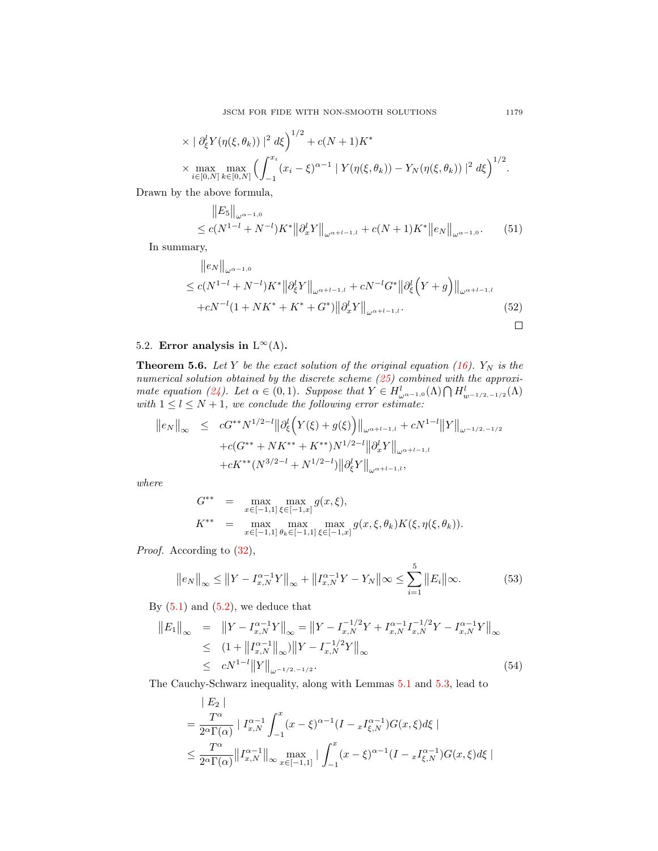$$
\times |\partial_{\xi}^{l} Y(\eta(\xi,\theta_{k}))|^{2} d\xi \Big)^{1/2} + c(N+1)K^{*}
$$
  
 
$$
\times \max_{i \in [0,N]} \max_{k \in [0,N]} \Big( \int_{-1}^{x_{i}} (x_{i} - \xi)^{\alpha-1} |Y(\eta(\xi,\theta_{k})) - Y_{N}(\eta(\xi,\theta_{k}))|^{2} d\xi \Big)^{1/2}.
$$

Drawn by the above formula,

$$
\|E_5\|_{\omega^{\alpha-1,0}} \le c(N^{1-l} + N^{-l})K^* \|\partial_x^l Y\|_{\omega^{\alpha+l-1,l}} + c(N+1)K^* \|e_N\|_{\omega^{\alpha-1,0}}.
$$
 (51)

In summary,

$$
||e_N||_{\omega^{\alpha-1,0}}\leq c(N^{1-l}+N^{-l})K^*||\partial_{\xi}^l Y||_{\omega^{\alpha+l-1,l}}+cN^{-l}G^*||\partial_{\xi}^l (Y+g)||_{\omega^{\alpha+l-1,l}}+cN^{-l}(1+NK^*+K^*+G^*)||\partial_x^l Y||_{\omega^{\alpha+l-1,l}}.
$$
\n(52)

## 5.2. Error analysis in  $L^{\infty}(\Lambda)$ .

**Theorem 5.6.** Let Y be the exact solution of the original equation [\(16\)](#page-6-3).  $Y_N$  is the numerical solution obtained by the discrete scheme [\(25\)](#page-9-1) combined with the approxi-mate equation [\(24\)](#page-9-3). Let  $\alpha \in (0,1)$ . Suppose that  $Y \in H_{\omega^{\alpha-1,0}}^l(\Lambda) \cap H_{w^{-1/2,-1/2}}^l(\Lambda)$ with  $1 \leq l \leq N+1$ , we conclude the following error estimate:

$$
||e_N||_{\infty} \leq cG^{**}N^{1/2-l}||\partial_{\xi}^l(Y(\xi)+g(\xi))||_{\omega^{\alpha+l-1,l}} + cN^{1-l}||Y||_{\omega^{-1/2,-1/2}} + c(G^{**}+NK^{**}+K^{**})N^{1/2-l}||\partial_x^lY||_{\omega^{\alpha+l-1,l}} + cK^{**}(N^{3/2-l}+N^{1/2-l})||\partial_{\xi}^lY||_{\omega^{\alpha+l-1,l}},
$$

where

$$
G^{**} = \max_{x \in [-1,1]} \max_{\xi \in [-1,x]} g(x,\xi),
$$
  

$$
K^{**} = \max_{x \in [-1,1]} \max_{\theta_k \in [-1,1]} \max_{\xi \in [-1,x]} g(x,\xi,\theta_k) K(\xi,\eta(\xi,\theta_k)).
$$

Proof. According to  $(32)$ ,

$$
||e_N||_{\infty} \le ||Y - I_{x,N}^{\alpha - 1}Y||_{\infty} + ||I_{x,N}^{\alpha - 1}Y - Y_N||_{\infty} \le \sum_{i=1}^5 ||E_i||_{\infty}.
$$
 (53)

By  $(5.1)$  and  $(5.2)$ , we deduce that

$$
||E_1||_{\infty} = ||Y - I_{x,N}^{\alpha-1}Y||_{\infty} = ||Y - I_{x,N}^{-1/2}Y + I_{x,N}^{\alpha-1}I_{x,N}^{-1/2}Y - I_{x,N}^{\alpha-1}Y||_{\infty}
$$
  
\n
$$
\leq (1 + ||I_{x,N}^{\alpha-1}||_{\infty}) ||Y - I_{x,N}^{-1/2}Y||_{\infty}
$$
  
\n
$$
\leq cN^{1-l} ||Y||_{\omega^{-1/2,-1/2}}.
$$
\n(54)

The Cauchy-Schwarz inequality, along with Lemmas [5.1](#page-11-0) and [5.3,](#page-12-0) lead to

$$
|E_2|
$$
  
=  $\frac{T^{\alpha}}{2^{\alpha}\Gamma(\alpha)} |I_{x,N}^{\alpha-1} \int_{-1}^{x} (x-\xi)^{\alpha-1} (I - {}_xI_{\xi,N}^{\alpha-1}) G(x,\xi) d\xi|$   
 $\leq \frac{T^{\alpha}}{2^{\alpha}\Gamma(\alpha)} ||I_{x,N}^{\alpha-1}||_{\infty} \max_{x \in [-1,1]} | \int_{-1}^{x} (x-\xi)^{\alpha-1} (I - {}_xI_{\xi,N}^{\alpha-1}) G(x,\xi) d\xi|$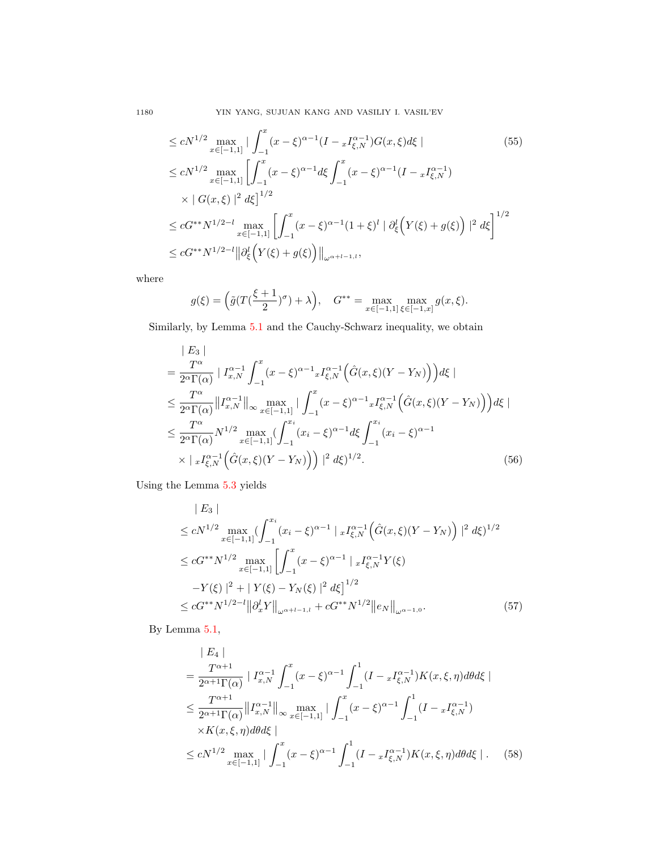1180 YIN YANG, SUJUAN KANG AND VASILIY I. VASIL'EV

$$
\leq cN^{1/2} \max_{x \in [-1,1]} \left| \int_{-1}^{x} (x - \xi)^{\alpha - 1} (I - xI_{\xi,N}^{\alpha - 1}) G(x, \xi) d\xi \right|
$$
\n
$$
\leq cN^{1/2} \max_{x \in [-1,1]} \left[ \int_{-1}^{x} (x - \xi)^{\alpha - 1} d\xi \int_{-1}^{x} (x - \xi)^{\alpha - 1} (I - xI_{\xi,N}^{\alpha - 1}) \times |G(x, \xi)|^2 d\xi \right]^{1/2}
$$
\n
$$
\leq cG^{**} N^{1/2 - l} \max_{x \in [-1,1]} \left[ \int_{-1}^{x} (x - \xi)^{\alpha - 1} (1 + \xi)^l | \partial_{\xi}^l (Y(\xi) + g(\xi)) |^2 d\xi \right]^{1/2}
$$
\n
$$
\leq cG^{**} N^{1/2 - l} ||\partial_{\xi}^l (Y(\xi) + g(\xi))||_{\omega^{\alpha + l - 1, l}},
$$
\n(55)

where

$$
g(\xi) = \left(\tilde{g}(T(\frac{\xi+1}{2})^{\sigma}) + \lambda\right), \quad G^{**} = \max_{x \in [-1,1]} \max_{\xi \in [-1,x]} g(x,\xi).
$$

Similarly, by Lemma [5.1](#page-11-0) and the Cauchy-Schwarz inequality, we obtain

$$
\begin{split}\n&= \frac{T^{\alpha}}{2^{\alpha} \Gamma(\alpha)} \mid I_{x,N}^{\alpha-1} \int_{-1}^{x} (x - \xi)^{\alpha-1} x I_{\xi,N}^{\alpha-1} \left( \hat{G}(x,\xi)(Y - Y_N) \right) d\xi \mid \\
&\leq \frac{T^{\alpha}}{2^{\alpha} \Gamma(\alpha)} \left\| I_{x,N}^{\alpha-1} \right\|_{\infty} \max_{x \in [-1,1]} \left| \int_{-1}^{x} (x - \xi)^{\alpha-1} x I_{\xi,N}^{\alpha-1} \left( \hat{G}(x,\xi)(Y - Y_N) \right) d\xi \mid \\
&\leq \frac{T^{\alpha}}{2^{\alpha} \Gamma(\alpha)} N^{1/2} \max_{x \in [-1,1]} \left( \int_{-1}^{x_i} (x_i - \xi)^{\alpha-1} d\xi \int_{-1}^{x_i} (x_i - \xi)^{\alpha-1} \\
&\times \left| x I_{\xi,N}^{\alpha-1} \left( \hat{G}(x,\xi)(Y - Y_N) \right) \right) \right|^{2} d\xi \right)^{1/2}.\n\end{split} \tag{56}
$$

Using the Lemma [5.3](#page-12-0) yields

$$
|E_3|
$$
  
\n
$$
\leq cN^{1/2} \max_{x \in [-1,1]} \left( \int_{-1}^{x_i} (x_i - \xi)^{\alpha - 1} | x I_{\xi,N}^{\alpha - 1} (\hat{G}(x,\xi)(Y - Y_N)) |^2 d\xi \right)^{1/2}
$$
  
\n
$$
\leq cG^{**} N^{1/2} \max_{x \in [-1,1]} \left[ \int_{-1}^x (x - \xi)^{\alpha - 1} | x I_{\xi,N}^{\alpha - 1} Y(\xi) - Y(\xi) |^2 + | Y(\xi) - Y_N(\xi) |^2 d\xi \right]^{1/2}
$$
  
\n
$$
\leq cG^{**} N^{1/2 - l} ||\partial_x^l Y||_{\omega^{\alpha + l - 1, l}} + cG^{**} N^{1/2} ||e_N||_{\omega^{\alpha - 1, 0}}.
$$
\n(57)

By Lemma [5.1,](#page-11-0)

$$
|E_{4}|
$$
\n
$$
= \frac{T^{\alpha+1}}{2^{\alpha+1}\Gamma(\alpha)} |I_{x,N}^{\alpha-1} \int_{-1}^{x} (x-\xi)^{\alpha-1} \int_{-1}^{1} (I - xI_{\xi,N}^{\alpha-1}) K(x,\xi,\eta) d\theta d\xi|
$$
\n
$$
\leq \frac{T^{\alpha+1}}{2^{\alpha+1}\Gamma(\alpha)} ||I_{x,N}^{\alpha-1}||_{\infty} \max_{x \in [-1,1]} | \int_{-1}^{x} (x-\xi)^{\alpha-1} \int_{-1}^{1} (I - xI_{\xi,N}^{\alpha-1})
$$
\n
$$
\times K(x,\xi,\eta) d\theta d\xi|
$$
\n
$$
\leq cN^{1/2} \max_{x \in [-1,1]} | \int_{-1}^{x} (x-\xi)^{\alpha-1} \int_{-1}^{1} (I - xI_{\xi,N}^{\alpha-1}) K(x,\xi,\eta) d\theta d\xi |.
$$
\n(58)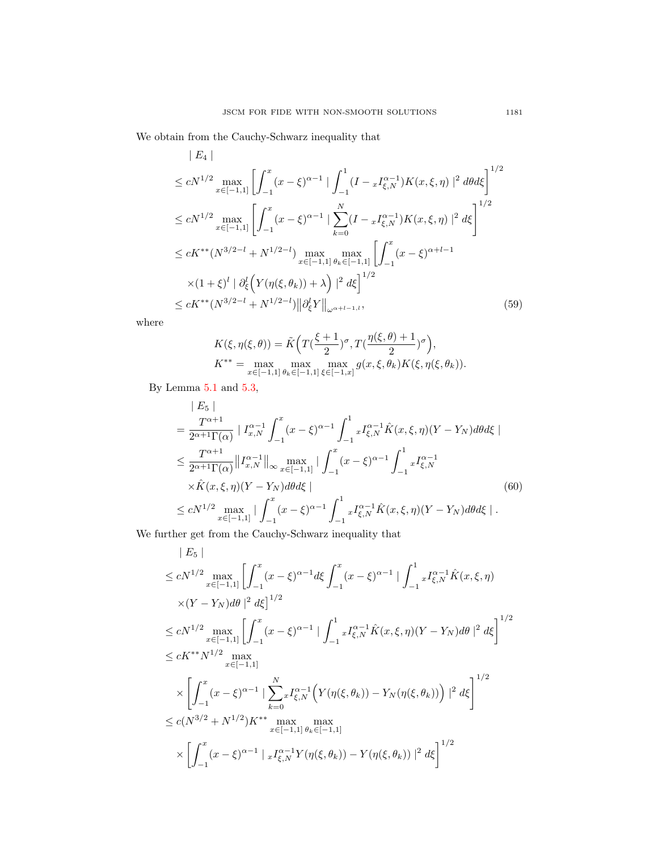We obtain from the Cauchy-Schwarz inequality that

$$
|E_4|
$$
  
\n
$$
\leq cN^{1/2} \max_{x \in [-1,1]} \left[ \int_{-1}^x (x - \xi)^{\alpha - 1} \left| \int_{-1}^1 (I - x I_{\xi,N}^{\alpha - 1}) K(x, \xi, \eta) \right|^2 d\theta d\xi \right]^{1/2}
$$
  
\n
$$
\leq cN^{1/2} \max_{x \in [-1,1]} \left[ \int_{-1}^x (x - \xi)^{\alpha - 1} \left| \sum_{k=0}^N (I - x I_{\xi,N}^{\alpha - 1}) K(x, \xi, \eta) \right|^2 d\xi \right]^{1/2}
$$
  
\n
$$
\leq cK^{**} (N^{3/2 - l} + N^{1/2 - l}) \max_{x \in [-1,1]} \max_{x \in [-1,1]} \left[ \int_{-1}^x (x - \xi)^{\alpha + l - 1} K(x, \xi, \eta) \right]^2 d\xi
$$
  
\n
$$
\leq cK^{**} (N^{3/2 - l} + N^{1/2 - l}) ||\partial_{\xi}^l Y||_{\omega^{\alpha + l - 1, l}}, \tag{59}
$$

where

$$
\begin{split} K(\xi,\eta(\xi,\theta))&=\tilde{K}\Big(T\big(\frac{\xi+1}{2}\big)^{\sigma},T\big(\frac{\eta(\xi,\theta)+1}{2}\big)^{\sigma}\Big),\\ K^{**}&=\max_{x\in[-1,1]}\max_{\theta_{k}\in[-1,1]}\max_{\xi\in[-1,x]}g(x,\xi,\theta_{k})K(\xi,\eta(\xi,\theta_{k})). \end{split}
$$

By Lemma [5.1](#page-11-0) and [5.3,](#page-12-0)

$$
|E_{5}|
$$
\n
$$
= \frac{T^{\alpha+1}}{2^{\alpha+1}\Gamma(\alpha)} |I_{x,N}^{\alpha-1} \int_{-1}^{x} (x-\xi)^{\alpha-1} \int_{-1}^{1} x I_{\xi,N}^{\alpha-1} \hat{K}(x,\xi,\eta)(Y-Y_{N}) d\theta d\xi|
$$
\n
$$
\leq \frac{T^{\alpha+1}}{2^{\alpha+1}\Gamma(\alpha)} ||I_{x,N}^{\alpha-1}||_{\infty} \max_{x \in [-1,1]} |\int_{-1}^{x} (x-\xi)^{\alpha-1} \int_{-1}^{1} x I_{\xi,N}^{\alpha-1}
$$
\n
$$
\times \hat{K}(x,\xi,\eta)(Y-Y_{N}) d\theta d\xi|
$$
\n
$$
\leq cN^{1/2} \max_{x \in [-1,1]} |\int_{-1}^{x} (x-\xi)^{\alpha-1} \int_{-1}^{1} x I_{\xi,N}^{\alpha-1} \hat{K}(x,\xi,\eta)(Y-Y_{N}) d\theta d\xi|.
$$
\n(60)

We further get from the Cauchy-Schwarz inequality that

$$
|E_5|
$$
  
\n
$$
\leq cN^{1/2} \max_{x \in [-1,1]} \left[ \int_{-1}^x (x - \xi)^{\alpha - 1} d\xi \int_{-1}^x (x - \xi)^{\alpha - 1} \right] \int_{-1}^1 x I_{\xi,N}^{\alpha - 1} \hat{K}(x, \xi, \eta)
$$
  
\n
$$
\times (Y - Y_N) d\theta \Big|^2 d\xi \Big|^{1/2}
$$
  
\n
$$
\leq cN^{1/2} \max_{x \in [-1,1]} \left[ \int_{-1}^x (x - \xi)^{\alpha - 1} \Big| \int_{-1}^1 x I_{\xi,N}^{\alpha - 1} \hat{K}(x, \xi, \eta) (Y - Y_N) d\theta \Big|^2 d\xi \right]^{1/2}
$$
  
\n
$$
\leq cK^{**} N^{1/2} \max_{x \in [-1,1]} \times \left[ \int_{-1}^x (x - \xi)^{\alpha - 1} \Big| \sum_{k=0}^N x I_{\xi,N}^{\alpha - 1} \Big( Y(\eta(\xi, \theta_k)) - Y_N(\eta(\xi, \theta_k)) \Big) \Big|^2 d\xi \right]^{1/2}
$$
  
\n
$$
\leq c(N^{3/2} + N^{1/2}) K^{**} \max_{x \in [-1,1]} \max_{\theta_k \in [-1,1]} \max_{\theta_k \in [-1,1]} \left[ \sum_{k=0}^x (x - \xi)^{\alpha - 1} \Big| \frac{x I_{\xi,N}^{\alpha - 1} Y(\eta(\xi, \theta_k)) - Y(\eta(\xi, \theta_k)) \Big|^2 d\xi \right]^{1/2}
$$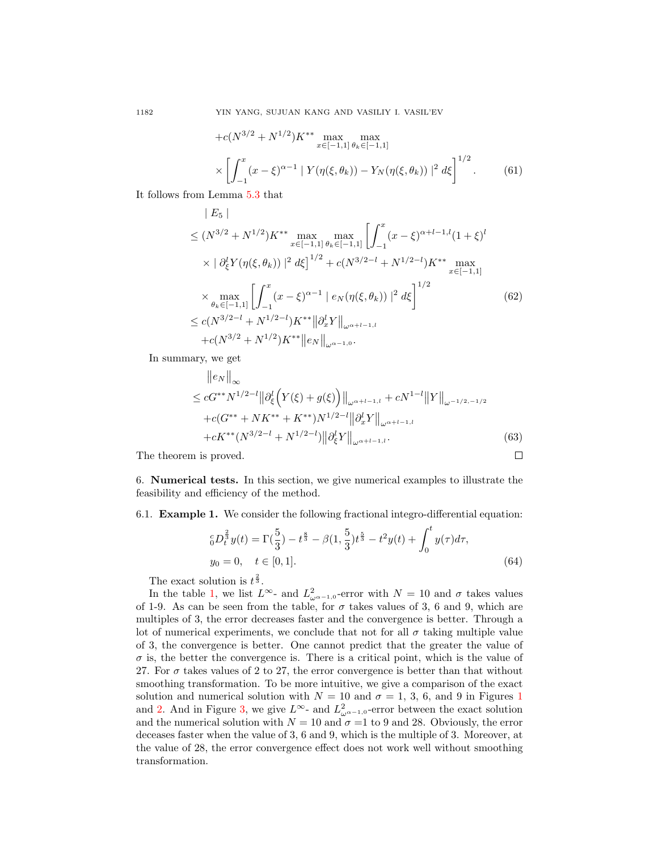$$
+c(N^{3/2} + N^{1/2})K^{**} \max_{x \in [-1,1]} \max_{\theta_k \in [-1,1]} \left[ \chi_{\theta_k}(\xi, \theta_k) - Y_N(\eta(\xi, \theta_k)) \right]^2 d\xi^{1/2}.
$$
 (61)

It follows from Lemma [5.3](#page-12-0) that  $\mathbf{E}$  =  $\mathbf{E}$ 

$$
|E_5|
$$
  
\n
$$
\leq (N^{3/2} + N^{1/2})K^{**} \max_{x \in [-1,1]} \max_{\theta_k \in [-1,1]} \left[ \int_{-1}^x (x - \xi)^{\alpha+l-1,l} (1 + \xi)^l \times |\partial_{\xi}^l Y(\eta(\xi, \theta_k))|^2 d\xi \right]^{1/2} + c(N^{3/2-l} + N^{1/2-l})K^{**} \max_{x \in [-1,1]} \times \max_{\theta_k \in [-1,1]} \left[ \int_{-1}^x (x - \xi)^{\alpha-1} |e_N(\eta(\xi, \theta_k))|^2 d\xi \right]^{1/2}
$$
  
\n
$$
\leq c(N^{3/2-l} + N^{1/2-l})K^{**} ||\partial_x^l Y||_{\omega^{\alpha+l-1,l}} + c(N^{3/2} + N^{1/2})K^{**} ||e_N||_{\omega^{\alpha-1,0}}.
$$
 (62)

In summary, we get

$$
\|e_N\|_{\infty} \le cG^{**} N^{1/2-l} \|\partial_{\xi}^l \Big(Y(\xi) + g(\xi)\Big)\|_{\omega^{\alpha+l-1,l}} + cN^{1-l} \|Y\|_{\omega^{-1/2,-1/2}} + c(G^{**} + NK^{**} + K^{**}) N^{1/2-l} \|\partial_x^l Y\|_{\omega^{\alpha+l-1,l}} + cK^{**} (N^{3/2-l} + N^{1/2-l}) \|\partial_{\xi}^l Y\|_{\omega^{\alpha+l-1,l}}.
$$
\n(63)

 $\Box$ 

The theorem is proved.

<span id="page-21-0"></span>6. Numerical tests. In this section, we give numerical examples to illustrate the feasibility and efficiency of the method.

6.1. Example 1. We consider the following fractional integro-differential equation:

$$
{}_{0}^{c}D_{t}^{\frac{2}{3}}y(t) = \Gamma(\frac{5}{3}) - t^{\frac{8}{3}} - \beta(1, \frac{5}{3})t^{\frac{5}{3}} - t^2y(t) + \int_{0}^{t} y(\tau)d\tau,
$$
  
\n
$$
y_{0} = 0, \quad t \in [0, 1].
$$
\n(64)

The exact solution is  $t^{\frac{2}{3}}$ .

In the table [1,](#page-22-0) we list  $L^{\infty}$ - and  $L^2_{\omega^{\alpha-1,0}}$ -error with  $N = 10$  and  $\sigma$  takes values of 1-9. As can be seen from the table, for  $\sigma$  takes values of 3, 6 and 9, which are multiples of 3, the error decreases faster and the convergence is better. Through a lot of numerical experiments, we conclude that not for all  $\sigma$  taking multiple value of 3, the convergence is better. One cannot predict that the greater the value of  $\sigma$  is, the better the convergence is. There is a critical point, which is the value of 27. For  $\sigma$  takes values of 2 to 27, the error convergence is better than that without smoothing transformation. To be more intuitive, we give a comparison of the exact solution and numerical solution with  $N = 10$  $N = 10$  $N = 10$  and  $\sigma = 1, 3, 6$ , and 9 in Figures 1 and [2.](#page-23-0) And in Figure [3,](#page-23-1) we give  $L^{\infty}$ - and  $L^2_{\omega^{\alpha-1,0}}$ -error between the exact solution and the numerical solution with  $N = 10$  and  $\sigma = 1$  to 9 and 28. Obviously, the error deceases faster when the value of 3, 6 and 9, which is the multiple of 3. Moreover, at the value of 28, the error convergence effect does not work well without smoothing transformation.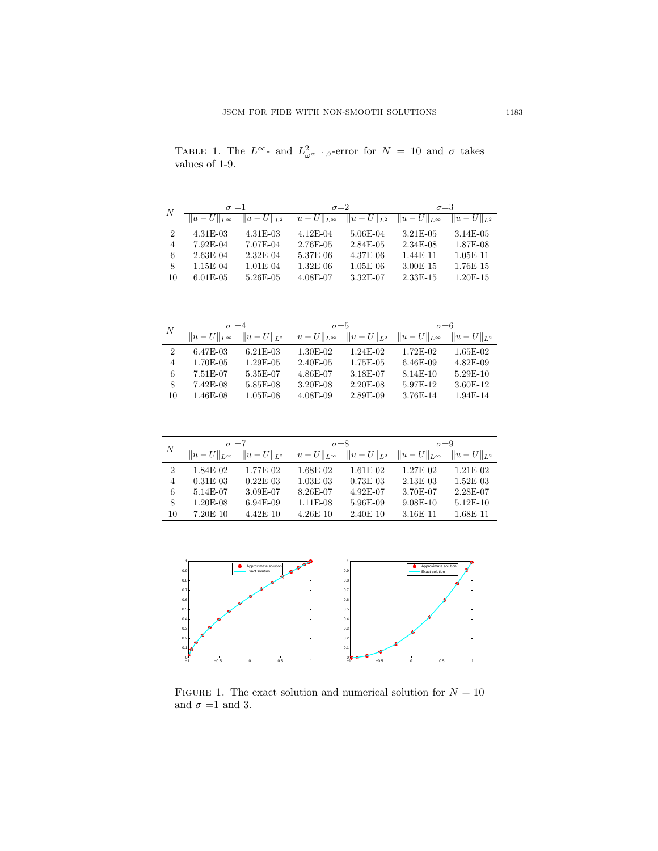| $\boldsymbol{N}$ | $\sigma = 1$           |                   | $\sigma = 2$                             |            | $\sigma = 3$           |                   |
|------------------|------------------------|-------------------|------------------------------------------|------------|------------------------|-------------------|
|                  | $  u-U  _{L^{\infty}}$ | $  u - U  _{L^2}$ | $  u - U  _{L^{\infty}}   u - U  _{L^2}$ |            | $  u-U  _{L^{\infty}}$ | $  u - U  _{L^2}$ |
| $\overline{2}$   | 4.31E-03               | $4.31E-03$        | $4.12E-04$                               | 5.06E-04   | 3.21E-05               | 3.14E-05          |
| $\overline{4}$   | 7.92E-04               | 7.07E-04          | 2.76E-05                                 | 2.84E-05   | 2.34E-08               | 1.87E-08          |
| 6                | $2.63E-04$             | 2.32E-04          | 5.37E-06                                 | $4.37E-06$ | $1.44E-11$             | $1.05E-11$        |
| 8                | 1.15E-04               | $1.01E-04$        | $1.32E-06$                               | $1.05E-06$ | $3.00E-15$             | 1.76E-15          |
| 10               | $6.01E-0.5$            | $5.26E-05$        | 4.08E-07                                 | $3.32E-07$ | $2.33E-15$             | 1.20E-15          |

<span id="page-22-0"></span>TABLE 1. The  $L^{\infty}$ - and  $L^2_{\omega^{\alpha-1,0}}$ -error for  $N = 10$  and  $\sigma$  takes values of 1-9.

| $\boldsymbol{N}$ | $\sigma = 4$                             |            | $\sigma = 5$           |                 | $\sigma = 6$           |                 |
|------------------|------------------------------------------|------------|------------------------|-----------------|------------------------|-----------------|
|                  | $  u - U  _{L^{\infty}}   u - U  _{L^2}$ |            | $  u-U  _{L^{\infty}}$ | $  u-U  _{L^2}$ | $  u-U  _{L^{\infty}}$ | $  u-U  _{L^2}$ |
| $\overline{2}$   | $6.47E-03$                               | $6.21E-03$ | 1.30E-02               | $1.24E-02$      | 1.72E-02               | $1.65E-02$      |
| 4                | 1.70E-05                                 | 1.29E-05   | $2.40E-05$             | 1.75E-05        | $6.46E-09$             | $4.82E-0.9$     |
| 6                | 7.51E-07                                 | 5.35E-07   | 4.86E-07               | 3.18E-07        | $8.14E-10$             | 5.29E-10        |
| 8                | $7.42E-08$                               | 5.85E-08   | 3.20E-08               | $2.20E-08$      | 5.97E-12               | 3.60E-12        |
| 10               | 1.46E-08                                 | $1.05E-08$ | $4.08E-09$             | 2.89E-09        | 3.76E-14               | 1.94E-14        |

| $\boldsymbol{N}$ | $\sigma = 7$           |                 | $\sigma = 8$           |                 | $\sigma = 9$           |                 |
|------------------|------------------------|-----------------|------------------------|-----------------|------------------------|-----------------|
|                  | $  u-U  _{L^{\infty}}$ | $  u-U  _{L^2}$ | $  u-U  _{L^{\infty}}$ | $  u-U  _{L^2}$ | $  u-U  _{L^{\infty}}$ | $  u-U  _{L^2}$ |
| $\overline{2}$   | 1.84E-02               | 1.77E-02        | 1.68E-02               | $1.61E-02$      | 1.27E-02               | $1.21E-02$      |
| 4                | $0.31E - 0.3$          | $0.22E-0.3$     | $1.03E-03$             | $0.73E-03$      | $2.13E-03$             | $1.52E-03$      |
| 6                | 5.14E-07               | 3.09E-07        | 8.26E-07               | 4.92E-07        | 3.70E-07               | 2.28E-07        |
| 8                | 1.20E-08               | $6.94E-09$      | $1.11E-08$             | 5.96E-09        | $9.08E - 10$           | $5.12E-10$      |
| 10               | $7.20E-10$             | $4.42E-10$      | $4.26E-10$             | $2.40E-10$      | 3.16E-11               | 1.68E-11        |



<span id="page-22-1"></span>FIGURE 1. The exact solution and numerical solution for  ${\cal N}=10$ and  $\sigma$  =1 and 3.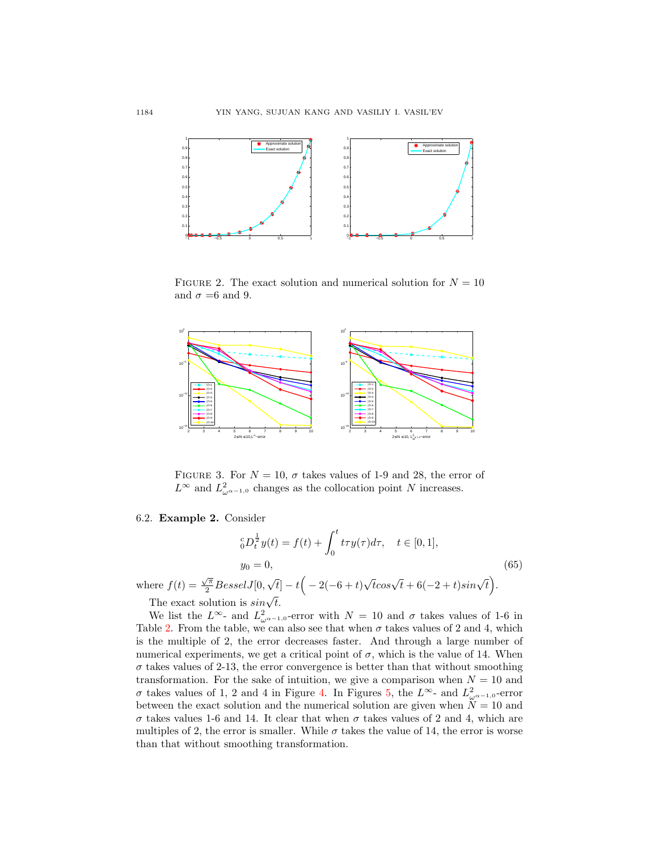

<span id="page-23-0"></span>FIGURE 2. The exact solution and numerical solution for  $N = 10$ and  $\sigma = 6$  and 9.



<span id="page-23-1"></span>FIGURE 3. For  $N = 10$ ,  $\sigma$  takes values of 1-9 and 28, the error of  $L^{\infty}$  and  $L^2_{\omega^{\alpha-1,0}}$  changes as the collocation point N increases.

### 6.2. Example 2. Consider

$$
{}_{0}^{c}D_{t}^{\frac{1}{2}}y(t) = f(t) + \int_{0}^{t} t\tau y(\tau)d\tau, \quad t \in [0, 1],
$$
  
\n
$$
y_{0} = 0,
$$
  
\nwhere  $f(t) = \frac{\sqrt{\pi}}{2}BesselJ[0, \sqrt{t}] - t\left(-2(-6+t)\sqrt{t}cos\sqrt{t} + 6(-2+t)sin\sqrt{t}\right).$  (65)

The exact solution is  $sin\sqrt{t}$ .

We list the  $L^{\infty}$ - and  $L^2_{\omega^{\alpha-1,0}}$ -error with  $N = 10$  and  $\sigma$  takes values of 1-6 in Table [2.](#page-24-0) From the table, we can also see that when  $\sigma$  takes values of 2 and 4, which is the multiple of 2, the error decreases faster. And through a large number of numerical experiments, we get a critical point of  $\sigma$ , which is the value of 14. When  $\sigma$  takes values of 2-13, the error convergence is better than that without smoothing transformation. For the sake of intuition, we give a comparison when  $N = 10$  and σ takes values of 1, 2 and 4 in Figure [4.](#page-24-1) In Figures [5,](#page-25-0) the  $L^∞$ - and  $L^2_{ω<sup>α-1,0</sup>}$ -error between the exact solution and the numerical solution are given when  $N = 10$  and  $\sigma$  takes values 1-6 and 14. It clear that when  $\sigma$  takes values of 2 and 4, which are multiples of 2, the error is smaller. While  $\sigma$  takes the value of 14, the error is worse than that without smoothing transformation.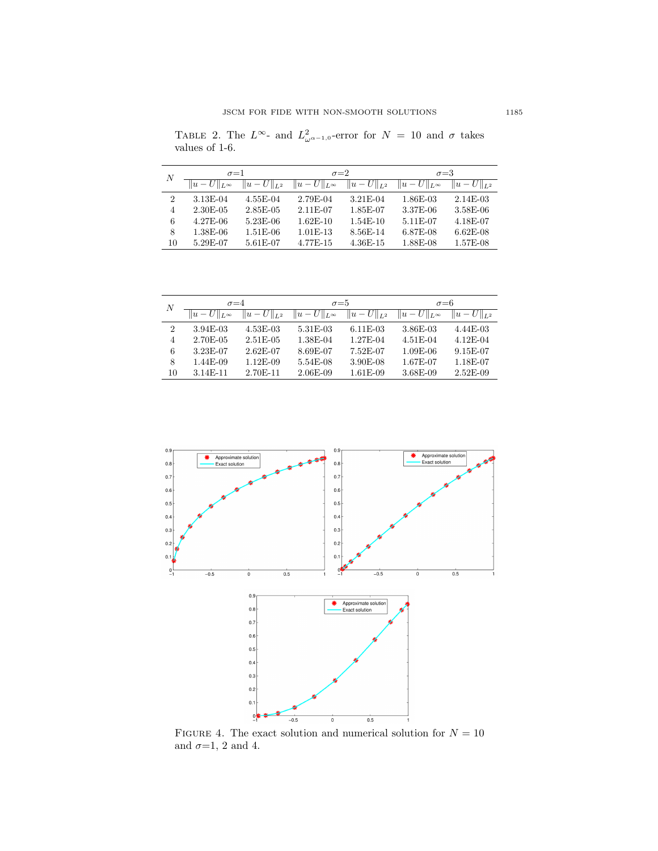<span id="page-24-0"></span>TABLE 2. The  $L^{\infty}$ - and  $L^2_{\omega^{\alpha-1,0}}$ -error for  $N = 10$  and  $\sigma$  takes values of 1-6.

| $\boldsymbol{N}$ | $\sigma = 1$   |            | $\sigma = 2$ |            | $\sigma = 3$ |            |
|------------------|----------------|------------|--------------|------------|--------------|------------|
|                  |                |            |              |            |              |            |
|                  | $\overline{2}$ | 3.13E-04   | 4.55E-04     | 2.79E-04   | 3.21E-04     | 1.86E-03   |
| $\overline{4}$   | 2.30E-05       | 2.85E-05   | 2.11E-07     | 1.85E-07   | 3.37E-06     | 3.58E-06   |
| 6                | 4.27E-06       | $5.23E-06$ | $1.62E-10$   | $1.54E-10$ | 5.11E-07     | 4.18E-07   |
| 8                | 1.38E-06       | $1.51E-06$ | $1.01E-13$   | 8.56E-14   | 6.87E-08     | $6.62E-08$ |
| 10               | 5.29E-07       | 5.61E-07   | 4.77E-15     | $4.36E-15$ | 1.88E-08     | 1.57E-08   |

| N              | $\sigma = 4$           |                   | $\sigma = 5$                             |            | $\sigma = 6$           |                 |
|----------------|------------------------|-------------------|------------------------------------------|------------|------------------------|-----------------|
|                | $  u-U  _{L^{\infty}}$ | $  u - U  _{L^2}$ | $  u - U  _{L^{\infty}}   u - U  _{L^2}$ |            | $  u-U  _{L^{\infty}}$ | $  u-U  _{L^2}$ |
| $\overline{2}$ | $3.94E-03$             | $4.53E-03$        | 5.31E-03                                 | $6.11E-03$ | 3.86E-03               | $4.44E-03$      |
| 4              | 2.70E-05               | 2.51E-05          | 1.38E-04                                 | 1.27E-04   | 4.51E-04               | $4.12E-04$      |
| 6              | 3.23E-07               | 2.62E-07          | 8.69E-07                                 | 7.52E-07   | $1.09E-06$             | 9.15E-07        |
| 8              | 1.44E-09               | $1.12E-09$        | 5.54E-08                                 | $3.90E-08$ | 1.67E-07               | 1.18E-07        |
| 10             | 3.14E-11               | 2.70E-11          | $2.06E-09$                               | $1.61E-09$ | 3.68E-09               | $2.52E-09$      |



<span id="page-24-1"></span>FIGURE 4. The exact solution and numerical solution for  $N = 10$ and  $\sigma=1, 2$  and 4.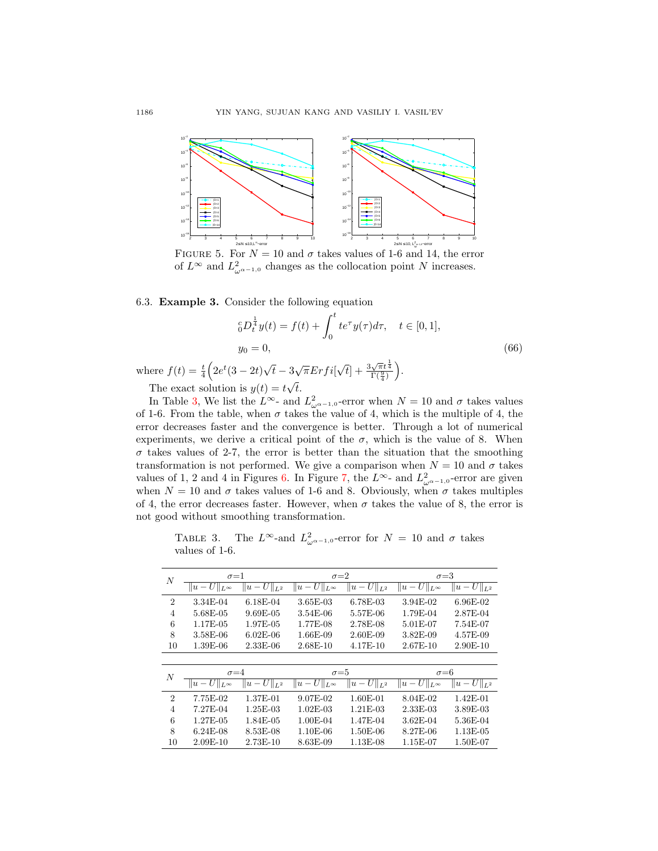

<span id="page-25-0"></span>FIGURE 5. For  $N = 10$  and  $\sigma$  takes values of 1-6 and 14, the error of  $L^{\infty}$  and  $L^{2}_{\omega^{\alpha-1,0}}$  changes as the collocation point N increases.

6.3. Example 3. Consider the following equation

$$
{}_{0}^{c}D_{t}^{\frac{1}{4}}y(t) = f(t) + \int_{0}^{t} te^{\tau}y(\tau)d\tau, \quad t \in [0,1],
$$
  

$$
y_{0} = 0,
$$
 (66)

where  $f(t) = \frac{t}{4} \left( 2e^t (3 - 2t) \right)$ √  $\bar{t} - 3\sqrt{\pi}Erfi$  $\sqrt{t}$  +  $\frac{3\sqrt{\pi}t^{\frac{1}{4}}}{\Gamma(\frac{9}{4})}$ . √

The exact solution is  $y(t) = t\sqrt{t}$ .

In Table [3,](#page-25-1) We list the  $L^{\infty}$ - and  $L^2_{\omega^{\alpha-1,0}}$ -error when  $N = 10$  and  $\sigma$  takes values of 1-6. From the table, when  $\sigma$  takes the value of 4, which is the multiple of 4, the error decreases faster and the convergence is better. Through a lot of numerical experiments, we derive a critical point of the  $\sigma$ , which is the value of 8. When  $\sigma$  takes values of 2-7, the error is better than the situation that the smoothing transformation is not performed. We give a comparison when  $N = 10$  and  $\sigma$  takes values of 1, 2 and 4 in Figures [6.](#page-26-1) In Figure [7,](#page-26-2) the  $L^{\infty}$ - and  $L^2_{\omega^{\alpha-1,0}}$ -error are given when  $N = 10$  and  $\sigma$  takes values of 1-6 and 8. Obviously, when  $\sigma$  takes multiples of 4, the error decreases faster. However, when  $\sigma$  takes the value of 8, the error is not good without smoothing transformation.

<span id="page-25-1"></span>TABLE 3. The  $L^{\infty}$ -and  $L^2_{\omega^{\alpha-1,0}}$ -error for  $N = 10$  and  $\sigma$  takes values of 1-6.

| $\boldsymbol{N}$ | $\sigma = 1$           |                            | $\sigma = 2$                          |                                   | $\sigma = 3$                      |                   |
|------------------|------------------------|----------------------------|---------------------------------------|-----------------------------------|-----------------------------------|-------------------|
|                  | $  u-U  _{L^{\infty}}$ | $\overline{\ u-U\ _{L^2}}$ | $\overline{\ u-U\ }_{L^\infty}$       | $\ \overline{u}-U\ _{L^2}$        | $\overline{\ u} - U\ _{L^\infty}$ | $  u-U  _{L^2}$   |
| $\overline{2}$   | 3.34E-04               | $6.18E-04$                 | $3.65E-03$                            | 6.78E-03                          | 3.94E-02                          | 6.96E-02          |
| $\overline{4}$   | 5.68E-05               | $9.69E-05$                 | $3.54E-06$                            | 5.57E-06                          | 1.79E-04                          | 2.87E-04          |
| 6                | 1.17E-05               | 1.97E-05                   | 1.77E-08                              | 2.78E-08                          | 5.01E-07                          | 7.54E-07          |
| 8                | 3.58E-06               | $6.02E-06$                 | 1.66E-09                              | $2.60E-09$                        | 3.82E-09                          | 4.57E-09          |
| 10               | 1.39E-06               | $2.33E-06$                 | $2.68E-10$                            | 4.17E-10                          | 2.67E-10                          | $2.90E-10$        |
|                  |                        |                            |                                       |                                   |                                   |                   |
| $\boldsymbol{N}$ | $\sigma = 4$           |                            | $\sigma = 5$                          |                                   | $\sigma = 6$                      |                   |
|                  | $  u-U  _{L^{\infty}}$ | $U\ _{L^2}$<br>$  u -$     | $\overline{U}\ _{L^\infty}$<br>$ u -$ | $\overline{U}\ _{L^2}$<br>$  u -$ | $  u-U  _{L^{\infty}}$            | $  u - U  _{L^2}$ |
| $\overline{2}$   | 7.75E-02               | 1.37E-01                   | 9.07E-02                              | $1.60E-01$                        | 8.04E-02                          | $1.42E - 01$      |
| $\overline{4}$   | 7.27E-04               | $1.25E-03$                 | $1.02E - 03$                          | $1.21E-03$                        | 2.33E-03                          | 3.89E-03          |
| 6                | 1.27E-05               | 1.84E-05                   | 1.00E-04                              | 1.47E-04                          | 3.62E-04                          | 5.36E-04          |
| 8                | $6.24E-08$             | 8.53E-08                   | 1.10E-06                              | $1.50E-06$                        | 8.27E-06                          | $1.13E-05$        |
| 10               | $2.09E-10$             | 2.73E-10                   | 8.63E-09                              | $1.13E-08$                        | 1.15E-07                          | 1.50E-07          |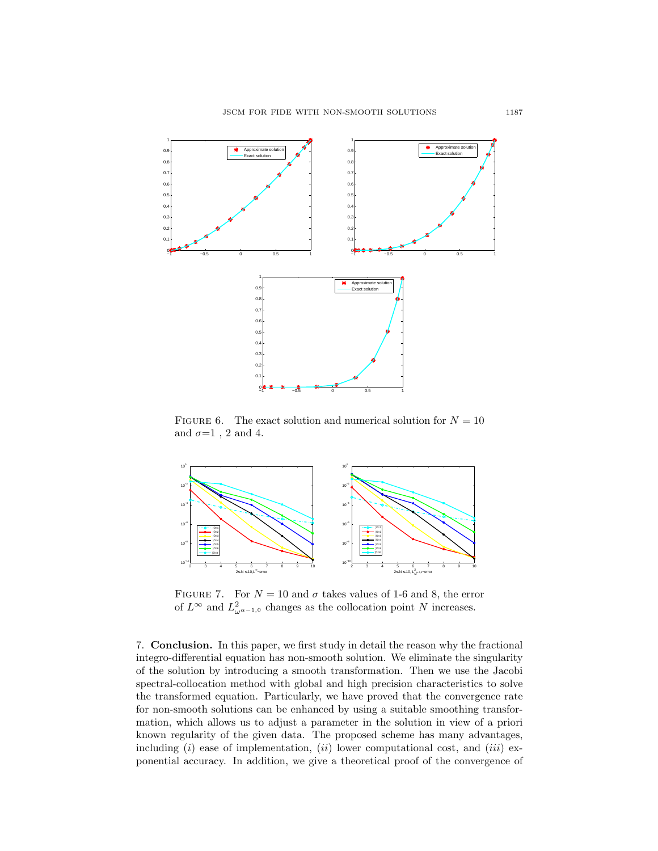

<span id="page-26-1"></span>FIGURE 6. The exact solution and numerical solution for  $N = 10$ and  $\sigma=1$ , 2 and 4.



<span id="page-26-2"></span>FIGURE 7. For  $N = 10$  and  $\sigma$  takes values of 1-6 and 8, the error of  $L^{\infty}$  and  $L^{2}_{\omega^{\alpha-1,0}}$  changes as the collocation point N increases.

<span id="page-26-0"></span>7. Conclusion. In this paper, we first study in detail the reason why the fractional integro-differential equation has non-smooth solution. We eliminate the singularity of the solution by introducing a smooth transformation. Then we use the Jacobi spectral-collocation method with global and high precision characteristics to solve the transformed equation. Particularly, we have proved that the convergence rate for non-smooth solutions can be enhanced by using a suitable smoothing transformation, which allows us to adjust a parameter in the solution in view of a priori known regularity of the given data. The proposed scheme has many advantages, including (i) ease of implementation, (ii) lower computational cost, and (iii) exponential accuracy. In addition, we give a theoretical proof of the convergence of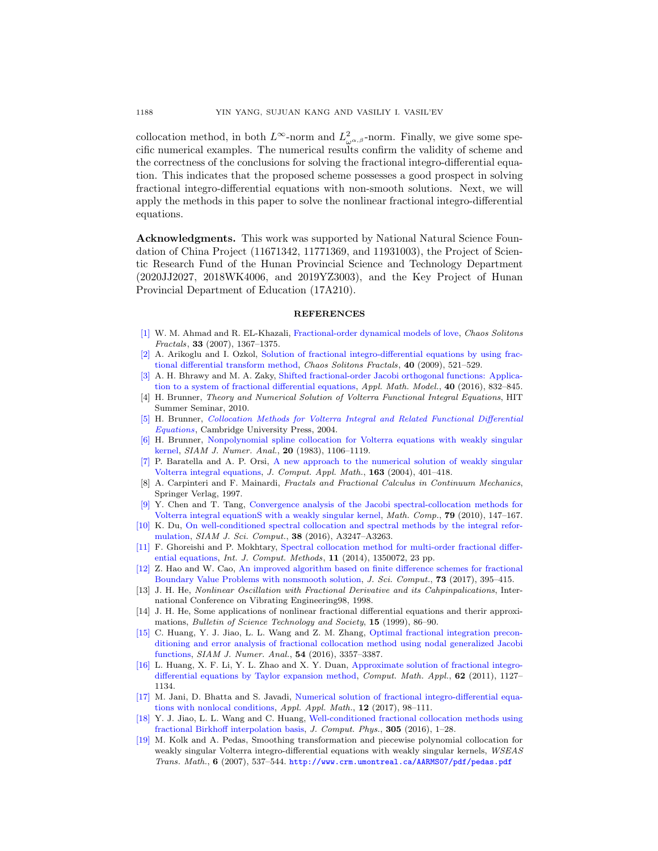collocation method, in both  $L^{\infty}$ -norm and  $L^{2}_{\omega^{\alpha,\beta}}$ -norm. Finally, we give some specific numerical examples. The numerical results confirm the validity of scheme and the correctness of the conclusions for solving the fractional integro-differential equation. This indicates that the proposed scheme possesses a good prospect in solving fractional integro-differential equations with non-smooth solutions. Next, we will apply the methods in this paper to solve the nonlinear fractional integro-differential equations.

Acknowledgments. This work was supported by National Natural Science Foundation of China Project (11671342, 11771369, and 11931003), the Project of Scientic Research Fund of the Hunan Provincial Science and Technology Department (2020JJ2027, 2018WK4006, and 2019YZ3003), and the Key Project of Hunan Provincial Department of Education (17A210).

#### **REFERENCES**

- <span id="page-27-3"></span>[\[1\]](http://www.ams.org/mathscinet-getitem?mr=MR2318922&return=pdf) W. M. Ahmad and R. EL-Khazali, [Fractional-order dynamical models of love,](http://dx.doi.org/10.1016/j.chaos.2006.01.098) *Chaos Solitons* Fractals, 33 (2007), 1367–1375.
- <span id="page-27-4"></span>[\[2\]](http://www.ams.org/mathscinet-getitem?mr=MR2527812&return=pdf) A. Arikoglu and I. Ozkol, [Solution of fractional integro-differential equations by using frac](http://dx.doi.org/10.1016/j.chaos.2007.08.001)[tional differential transform method,](http://dx.doi.org/10.1016/j.chaos.2007.08.001) Chaos Solitons Fractals, 40 (2009), 521–529.
- <span id="page-27-7"></span>[\[3\]](http://www.ams.org/mathscinet-getitem?mr=MR3436444&return=pdf) A. H. Bhrawy and M. A. Zaky, [Shifted fractional-order Jacobi orthogonal functions: Applica](http://dx.doi.org/10.1016/j.apm.2015.06.012)[tion to a system of fractional differential equations,](http://dx.doi.org/10.1016/j.apm.2015.06.012) Appl. Math. Model., 40 (2016), 832–845.
- <span id="page-27-17"></span>[4] H. Brunner, Theory and Numerical Solution of Volterra Functional Integral Equations, HIT Summer Seminar, 2010.
- <span id="page-27-16"></span>[\[5\]](http://www.ams.org/mathscinet-getitem?mr=MR2128285&return=pdf) H. Brunner, [Collocation Methods for Volterra Integral and Related Functional Differential](http://dx.doi.org/10.1017/CBO9780511543234) [Equations](http://dx.doi.org/10.1017/CBO9780511543234), Cambridge University Press, 2004.
- <span id="page-27-18"></span>[\[6\]](http://www.ams.org/mathscinet-getitem?mr=MR723827&return=pdf) H. Brunner, [Nonpolynomial spline collocation for Volterra equations with weakly singular](http://dx.doi.org/10.1137/0720080) [kernel,](http://dx.doi.org/10.1137/0720080) SIAM J. Numer. Anal., 20 (1983), 1106–1119.
- <span id="page-27-14"></span>[\[7\]](http://www.ams.org/mathscinet-getitem?mr=MR2042821&return=pdf) P. Baratella and A. P. Orsi, [A new approach to the numerical solution of weakly singular](http://dx.doi.org/10.1016/j.cam.2003.08.047) [Volterra integral equations,](http://dx.doi.org/10.1016/j.cam.2003.08.047) J. Comput. Appl. Math., 163 (2004), 401–418.
- <span id="page-27-2"></span>[8] A. Carpinteri and F. Mainardi, Fractals and Fractional Calculus in Continuum Mechanics, Springer Verlag, 1997.
- <span id="page-27-12"></span>[\[9\]](http://www.ams.org/mathscinet-getitem?mr=MR2552221&return=pdf) Y. Chen and T. Tang, [Convergence analysis of the Jacobi spectral-collocation methods for](http://dx.doi.org/10.1090/S0025-5718-09-02269-8) [Volterra integral equationS with a weakly singular kernel,](http://dx.doi.org/10.1090/S0025-5718-09-02269-8) Math. Comp., 79 (2010), 147-167.
- <span id="page-27-9"></span>[\[10\]](http://www.ams.org/mathscinet-getitem?mr=MR3556072&return=pdf) K. Du, [On well-conditioned spectral collocation and spectral methods by the integral refor](http://dx.doi.org/10.1137/15M1046629)[mulation,](http://dx.doi.org/10.1137/15M1046629) SIAM J. Sci. Comput., 38 (2016), A3247–A3263.
- <span id="page-27-15"></span>[\[11\]](http://www.ams.org/mathscinet-getitem?mr=MR3271032&return=pdf) F. Ghoreishi and P. Mokhtary, [Spectral collocation method for multi-order fractional differ](http://dx.doi.org/10.1142/s0219876213500722)[ential equations,](http://dx.doi.org/10.1142/s0219876213500722) Int. J. Comput. Methods, 11 (2014), 1350072, 23 pp.
- <span id="page-27-11"></span>[\[12\]](http://www.ams.org/mathscinet-getitem?mr=MR3704857&return=pdf) Z. Hao and W. Cao, [An improved algorithm based on finite difference schemes for fractional](http://dx.doi.org/10.1007/s10915-017-0417-8) [Boundary Value Problems with nonsmooth solution,](http://dx.doi.org/10.1007/s10915-017-0417-8) J. Sci. Comput., 73 (2017), 395–415.
- <span id="page-27-0"></span>[13] J. H. He, Nonlinear Oscillation with Fractional Derivative and its Cahpinpalications, International Conference on Vibrating Engineering98, 1998.
- <span id="page-27-1"></span>[14] J. H. He, Some applications of nonlinear fractional differential equations and therir approximations, Bulletin of Science Technology and Society, 15 (1999), 86–90.
- <span id="page-27-10"></span>[\[15\]](http://www.ams.org/mathscinet-getitem?mr=MR3574589&return=pdf) C. Huang, Y. J. Jiao, L. L. Wang and Z. M. Zhang, [Optimal fractional integration precon](http://dx.doi.org/10.1137/16M1059278)[ditioning and error analysis of fractional collocation method using nodal generalized Jacobi](http://dx.doi.org/10.1137/16M1059278) [functions,](http://dx.doi.org/10.1137/16M1059278) SIAM J. Numer. Anal., 54 (2016), 3357–3387.
- <span id="page-27-5"></span>[\[16\]](http://www.ams.org/mathscinet-getitem?mr=MR2824701&return=pdf) L. Huang, X. F. Li, Y. L. Zhao and X. Y. Duan, [Approximate solution of fractional integro](http://dx.doi.org/10.1016/j.camwa.2011.03.037)[differential equations by Taylor expansion method,](http://dx.doi.org/10.1016/j.camwa.2011.03.037) Comput. Math. Appl., 62 (2011), 1127– 1134.
- <span id="page-27-6"></span>[\[17\]](http://www.ams.org/mathscinet-getitem?mr=MR3663820&return=pdf) M. Jani, D. Bhatta and S. Javadi, [Numerical solution of fractional integro-differential equa](http://dx.doi.org/10.1007/s40314-019-0896-3)[tions with nonlocal conditions,](http://dx.doi.org/10.1007/s40314-019-0896-3)  $Appl.$   $Appl.$   $Math., 12$   $(2017), 98-111.$
- <span id="page-27-8"></span>[\[18\]](http://www.ams.org/mathscinet-getitem?mr=MR3429567&return=pdf) Y. J. Jiao, L. L. Wang and C. Huang, [Well-conditioned fractional collocation methods using](http://dx.doi.org/10.1016/j.jcp.2015.10.029) [fractional Birkhoff interpolation basis,](http://dx.doi.org/10.1016/j.jcp.2015.10.029) J. Comput. Phys., 305 (2016), 1–28.
- <span id="page-27-13"></span>[\[19\]](http://www.ams.org/mathscinet-getitem?mr=MR2305783&return=pdf) M. Kolk and A. Pedas, Smoothing transformation and piecewise polynomial collocation for weakly singular Volterra integro-differential equations with weakly singular kernels, WSEAS Trans. Math., 6 (2007), 537–544. <http://www.crm.umontreal.ca/AARMS07/pdf/pedas.pdf>